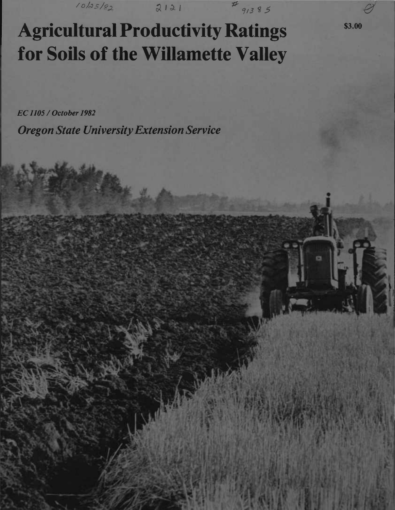*v*<sup>o</sup>/as/82 **2121** *V<sub>913</sub>85* 

*0*

\$3.00

**Agricultural Productivity Ratings for Soils of the Willamette Valley**

*EC1105/October 1982*

*Oregon State UniversityExtension Service*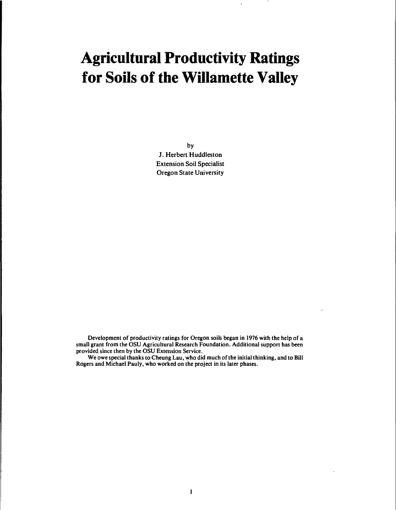### **Agricultural Productivity Ratings for Soils of the Willamette Valley**

by J. Herbert Huddleston Extension Soil Specialist Oregon State University

Development of productivity ratings for Oregon soils began in 1976 with the help of a small grant from the OSU Agricultural Research Foundation. Additional support has been provided since then by the OSU Extension Service.

We owe special thanks to Cheung Lau, who did much of the initial thinking, and to Bill Rogers and Michael Pauly, who worked on the project in its later phases.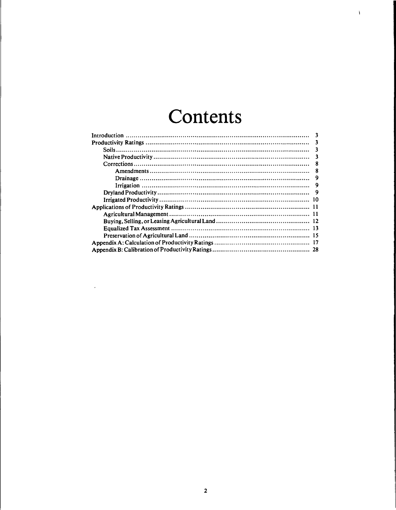### **Contents**

 $\mathbf{i}$ 

| -3 |
|----|
| ্ব |
| 3  |
| ્વ |
| 8  |
| 8  |
| 9  |
| 9  |
|    |
|    |
|    |
|    |
|    |
|    |
|    |
|    |
|    |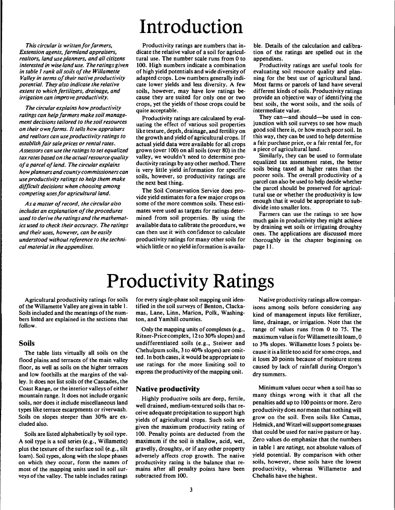*This circular is written for farmers*. *Extension agents, farmland appraisers, realtors, land use planners, and all citizens interested in wise land use. The ratings given in table <sup>1</sup> rank allsoils ofthe Willamette Valley in terms of their native productivity potential. They also indicate the relative extent to which fertilizers, drainage, and irrigation can improveproductivity.*

*The circular explains howproductivity*  $r_{\text{atings}}$  *can help farmers make* soil *management decisions tailored to the soilresources on their own farms. It tells how appraisers and realtors can use productivity ratings to establish fair sale prices or rental rates. Assessors can use the ratings to set equalized tax rates based on the actualresource quality ofa parcel ofland. The circular explains howplanners andcounty commissioners can use productivity ratings to help them make difficult decisions when choosing among competing uses for agricultural land.* 

*As a matter ofrecord, the circular also includes an explanation of the procedures used to derive the ratings and the mathematics used to check their accuracy. The ratings and their uses, however, can be easily understood without reference to the technical materialin the appendixes.*

# Introduction

Productivity ratings are numbers that indicate the relative value of a soil for agricultural use. The number scale runs from 0 to 100. High numbers indicate a combination of high yield potentials and wide diversity of adapted crops. Low numbers generally indicate lower yields and less diversity. A few soils, however, may have low ratings because they are suited for only one or two crops, yet the yields of those crops could be quite acceptable.

Productivity ratings are calculated by evaluating the effect of various soil properties like texture, depth, drainage, and fertility on the growth and yield of agricultural crops. If actual yield data were available for all crops grown (over 100) on all soils (over 80) in the valley, we wouldn't need to determine productivity ratings by any other method. There is very little yield information for specific soils, however, so productivity ratings are the next best thing.

The Soil Conservation Service does provide yield estimates for a few major crops on some of the more common soils. These estimates were used as targets for ratings determined from soil properties. By using the available data to calibrate the procedure, we can then use it with confidence to calculate productivity ratings for many other soils for which little or no yield information is availa-

ble. Details of the calculation and calibration of the ratings are spelled out in the appendixes.

Productivity ratings are useful tools for evaluating soil resource quality and planning for the best use of agricultural land. Most farms or parcels of land have several different kinds of soils. Productivity ratings provide an objective way of identifying the best soils, the worst soils, and the soils of intermediate value.

They can—and should—be used in conjunction with soil surveys to see how much good soil there is, or how much poor soil. In this way, they can be used to help determine a fair purchase price, or a fair rental fee, for a piece of agricultural land.

Similarly, they can be used to formulate equalized tax assessment rates, the better soils being taxed at higher rates than the poorer soils. The overall productivity of a parcel can also be used to help decide whether the parcel should be preserved for agricultural use or whether the productivity is low enough that it would be appropriate to subdivide into smaller lots.

Farmers can use the ratings to see how much gain in productivity they might achieve by draining wet soils or irrigating droughty ones. The applications are discussed more thoroughly in the chapter beginning on page 11.

### Productivity Ratings

Agricultural productivity ratings for soils of the Willamette Valley are given in table 1. Soils included and the meanings of the numbers listed are explained in the sections that follow.

#### **Soils**

The table lists virtually all soils on the flood plains and terraces of the main valley floor, as well as soils on the higher terraces and low foothills at the margins of the valley. It does not list soils of the Cascades, the Coast Range, or the interior valleys of either mountain range. It does not include organic soils, nor does it include miscellaneous land types like terrace escarpments or riverwash. Soils on slopes steeper than 30% are excluded also.

Soils are listed alphabetically by soil type. A soil type is a soil series (e.g., Willamette) plus the texture of the surface soil (e.g., silt loam). Soil types, along with the slope phases on which they occur, form the names of most of the mapping units used in soil surveys of the valley. The table includes ratings

for every single-phase soil mapping unit identified in the soil surveys of Benton, Clackamas, Lane, Linn, Marion, Polk, Washington, and Yamhill counties.

Only the mapping units of complexes (e.g., Ritner-Price complex, 12 to 30% slopes) and undifferentiated soils (e.g., Steiwer and Chehulpum soils, <sup>3</sup> to 40% slopes) are omitted. In both cases, it would be appropriate to use ratings for the more limiting soil to express the productivity of the mapping unit.

### **Native productivity**

. Highly productive soils are deep, fertile, well drained, medium-textured soils that receive adequate precipitation to support high yields of agricultural crops. Such soils are given the maximum productivity rating of 100. Penalty points are deducted from the maximum if the soil is shallow, acid, wet, gravelly, droughty, or if any other property adversely affects crop growth. The native productivity rating is the balance that remains after all penalty points have been subtracted from 100.

Native productivity ratings allow comparisons among soils before considering any kind of management inputs like fertilizer, lime, drainage, or irrigation. Note that the range of values runs from 0 to 75. The maximum value is for Willamette silt loam, 0 to 3% slopes. Willamette loses <sup>5</sup> points because it is a little too acid forsome crops, and it loses 20 points because of moisture stress caused by lack of rainfall during Oregon's dry summers.

Minimum values occur when a soil has so many things wrong with it that all the penalties add up to 100 points or more. Zero productivity does *not* mean that nothing will grow on the soil. Even soils like Camas, Helmick, and Witzel will support some grasses that could be used for native pasture or hay. Zero values do emphasize that the numbers in table <sup>1</sup> are *ratings,* not absolute values of yield potential. By comparison with other soils, however, these soils have the lowest productivity, whereas Willamette and Chehalis have the highest.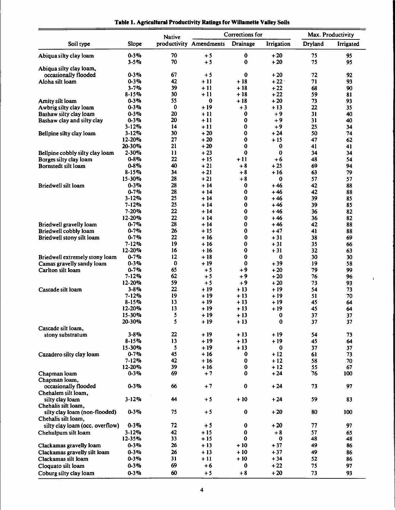|  | Table 1. Agricultural Productivity Ratings for Willamette Valley Soils |  |  |
|--|------------------------------------------------------------------------|--|--|
|  |                                                                        |  |  |

|                                                         |                        | <b>Native</b> |                         | Corrections for     |                 |          | Max. Productivity |
|---------------------------------------------------------|------------------------|---------------|-------------------------|---------------------|-----------------|----------|-------------------|
| Soil type                                               | Slope                  |               | productivity Amendments | Drainage            | Irrigation      | Dryland  | Irrigated         |
| Abiqua silty clay loam                                  | $0 - 3\%$              | 70            | $+5$                    | $\pmb{0}$           | $+20$           | 75       | 95                |
|                                                         | $3 - 5\%$              | 70            | $+5$                    | 0                   | $+20$           | 75       | 95                |
| Abiqua silty clay loam,                                 | $0 - 3\%$              | 67            | $+5$                    | $\bf{0}$            | $+20$           | 72       |                   |
| occasionally flooded<br>Aloha silt loam                 | $0 - 3\%$              | 42            | $+11$                   | $+18$               | $+22$           | 71       | 92<br>93          |
|                                                         | $3 - 7%$               | 39            | + 11                    | $+18$               | $+22$           | 68       | 90                |
|                                                         | $8 - 15%$              | 30            | $+11$                   | $+18$               | $+22$           | 59       | 81                |
| Amity silt loam                                         | $0 - 3\%$              | 55            | 0                       | $+18$               | $+20$           | 73       | 93                |
| Awbrig silty clay loam                                  | $0 - 3\%$              | 0             | $+19$                   | $+3$                | + 13            | 22       | 35                |
| Bashaw silty clay loam                                  | $0 - 3\%$              | 20<br>20      | $+11$                   | 0<br>0              | $+9$            | 31       | 40                |
| Bashaw clay and silty clay                              | $0 - 3\%$<br>$3 - 12%$ | 14            | $+11$<br>$+11$          | 0                   | $+9$<br>$+9$    | 31<br>25 | 40<br>34          |
| Bellpine silty clay loam                                | $3 - 12%$              | 30            | $+20$                   | 0                   | $+24$           | 50       | 74                |
|                                                         | 12-20%                 | 27            | $+20$                   | 0                   | $+15$           | 47       | 62                |
|                                                         | 20-30%                 | 21            | $+20$                   | 0                   | 0               | 41       | 41                |
| Bellpine cobbly silty clay loam                         | $2 - 30%$              | 11            | $+23$                   | 0                   | 0               | 34       | 34                |
| Borges silty clay loam                                  | $0 - 8\%$              | 22            | $+15$                   | $+11$               | $+6$            | 48       | 54                |
| Bornstedt silt loam                                     | $0 - 8\%$              | 40            | $+21$                   | $+8$                | $+25$           | 69       | 94                |
|                                                         | $8 - 15%$              | 34            | $+21$                   | $+8$                | $+16$           | 63       | 79                |
| Briedwell silt loam                                     | 15-30%<br>$0 - 3\%$    | 28<br>28      | $+21$<br>$+14$          | $+8$<br>0           | 0<br>$+46$      | 57<br>42 | 57                |
|                                                         | $0 - 7%$               | 28            | $+14$                   | 0                   | $+46$           | 42       | 88<br>88          |
|                                                         | $3 - 12%$              | 25            | + 14                    | 0                   | $+46$           | 39       | 85                |
|                                                         | $7 - 12%$              | 25            | $+14$                   | 0                   | + 46            | 39       | 85                |
|                                                         | 7-20%                  | 22            | $+14$                   | 0                   | $+46$           | 36       | 82                |
|                                                         | 12-20%                 | 22            | + 14                    | 0                   | $+46$           | 36       | 82                |
| Briedwell gravelly loam                                 | $0 - 7%$               | 28            | $+14$                   | 0                   | + 46            | 42       | 88                |
| Briedwell cobbly loam                                   | $0 - 7%$               | 26            | $+15$                   | 0                   | $+47$           | 41       | 88                |
| Briedwell stony silt loam                               | $0 - 7%$               | 22            | $+16$                   | 0                   | $+31$           | 38       | 69                |
|                                                         | $7 - 12%$<br>12-20%    | 19<br>16      | $+16$<br>$+16$          | 0<br>0              | $+31$<br>$+31$  | 35       | 66                |
| Briedwell extremely stony loam                          | $0 - 7%$               | 12            | $+18$                   | 0                   | $\bf{0}$        | 32<br>30 | 63<br>30          |
| Camas gravelly sandy loam                               | $0 - 3\%$              | $\bf{0}$      | + 19                    | $\bf{0}$            | $+39$           | 19       | 58                |
| Carlton silt loam                                       | $0 - 7%$               | 65            | $+5$                    | $+9$                | $+20$           | 79       | 99                |
|                                                         | $7 - 12%$              | 62            | $+5$                    | $+9$                | $+20$           | 76       | 96                |
|                                                         | 12-20%                 | 59            | $+5$                    | $+9$                | $+20$           | 73       | 93                |
| Cascade silt loam                                       | $3 - 8\%$              | 22            | $+19$                   | $+13$               | $+19$           | 54       | 73                |
|                                                         | $7 - 12%$              | 19            | $+19$                   | $+13$               | $+19$           | 51       | 70                |
|                                                         | $8 - 15%$<br>12-20%    | 13<br>13      | $+19$                   | $+13$               | $+19$           | 45       | 64                |
|                                                         | 15-30%                 | 5             | $+19$<br>$+19$          | $+13$<br>$+13$      | $+19$<br>0      | 45<br>37 | 64<br>37          |
|                                                         | 20-30%                 | 5             | + 19                    | $+13$               | $\pmb{0}$       | 37       | 37                |
| Cascade silt loam,                                      |                        |               |                         |                     |                 |          |                   |
| stony substratum                                        | $3 - 8\%$              | 22            | $+19$                   | $+13$               | $+19$           | 54       | 73                |
|                                                         | $8 - 15%$              | 13            | $+19$                   | $+13$               | $+19$           | 45       | 64                |
|                                                         | 15-30%                 | 5             | $+19$                   | $+13$               | $\bf{0}$        | 37       | 37                |
| Cazadero silty clay loam                                | $0 - 7%$               | 45            | $+16$                   | 0                   | $+12$           | 61       | 73                |
|                                                         | $7 - 12%$              | 42            | + 16                    | $\bf{0}$            | $+12$           | 58       | 70                |
| Chapman loam                                            | 12-20%<br>$0 - 3\%$    | 39<br>69      | $+16$<br>$+7$           | $\bf o$<br>$\bf{0}$ | $+12$<br>$+24$  | 55<br>76 | 67<br>100         |
| Chapman loam,                                           |                        |               |                         |                     |                 |          |                   |
| occasionally flooded                                    | $0 - 3\%$              | 66            | $+7$                    | $\bf{0}$            | $+24$           | 73       | 97                |
| Chehalem silt loam,                                     |                        |               |                         |                     |                 |          |                   |
| silty clay loam                                         | $3 - 12%$              | 44            | $+5$                    | $+10$               | $+24$           | 59       | 83                |
| Chehalis silt loam,                                     |                        |               |                         |                     |                 |          |                   |
| silty clay loam (non-flooded)                           | $0 - 3\%$              | 75            | $+5$                    | $\bf{0}$            | $+20$           | 80       | 100               |
| Chehalis silt loam,                                     |                        |               |                         |                     |                 |          |                   |
| silty clay loam (occ. overflow)                         | $0 - 3\%$              | 72            | $+5$                    | 0                   | $+20$           | 77       | 97                |
| Chehulpum silt loam                                     | $3 - 12%$<br>12-35%    | 42<br>33      | $+15$<br>$+15$          | $\bf{0}$<br>0       | $+8$<br>$\bf o$ | 57       | 65                |
|                                                         | $0 - 3\%$              | 26            | $+13$                   | $+10$               | $+37$           | 48<br>49 | 48<br>86          |
| Clackamas gravelly loam<br>Clackamas gravelly silt loam | $0 - 3\%$              | 26            | $+13$                   | $+10$               | $+37$           | 49       | 86                |
| Clackamas silt loam                                     | $0 - 3\%$              | 31            | $+11$                   | $+10$               | $+34$           | 52       | 86                |
| Cloquato silt loam                                      | $0 - 3\%$              | 69            | $+6$                    | $\bf{0}$            | $+22$           | 75       | 97                |
| Coburg silty clay loam                                  | $0 - 3\%$              | 60            | $+5$                    | $+8$                | $+20$           | 73       | 93                |
|                                                         |                        |               |                         |                     |                 |          |                   |

 $\mathbf{I}$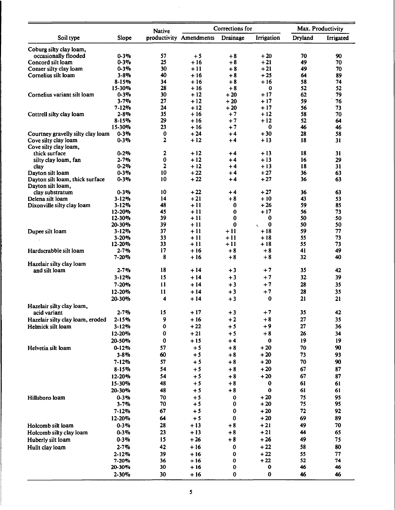|                                   |                        | <b>Native</b>  |                         | Corrections for |                                           |                | Max. Productivity |
|-----------------------------------|------------------------|----------------|-------------------------|-----------------|-------------------------------------------|----------------|-------------------|
| Soil type                         | Slope                  |                | productivity Amendments | Drainage        | Irrigation                                | <b>Dryland</b> | Irrigated         |
| Coburg silty clay loam,           |                        |                |                         |                 |                                           |                |                   |
| occasionally flooded              | $0 - 3\%$              | 57             | $+5$                    | $+8$            | $+20$                                     | 70             | 90                |
| Concord silt loam                 | $0 - 3\%$              | 25             | $+16$                   | $+8$            | $+21$                                     | 49             | 70                |
| Conser silty clay loam            | $0 - 3\%$              | 30             | $+11$                   | $+8$            | $+21$                                     | 49             | 70                |
| Cornelius silt loam               | $3 - 8\%$              | 40             | $+16$                   | $+8$            | $+25$                                     | 64             | 89                |
|                                   | $8 - 15%$              | 34             | + 16                    | $+8$            | + 16                                      | 58             | 74                |
| Cornelius variant silt loam       | 15-30%<br>$0 - 3\%$    | 28<br>30       | $+16$<br>$+12$          | $+8$<br>$+20$   | $\mathbf{o}$<br>$+17$                     | 52<br>62       | 52<br>79          |
|                                   | $3 - 7%$               | 27             | $+12$                   | $+20$           | $+17$                                     | 59             | 76                |
|                                   | $7 - 12%$              | 24             | $+12$                   | $+20$           | $+17$                                     | 56             | 73                |
| Cottrell silty clay loam          | $2 - 8%$               | 35             | + 16                    | $+7$            | + 12                                      | 58             | 70                |
|                                   | $8 - 15%$              | 29             | $+16$                   | $+7$            | $+12$                                     | 52             | 64                |
|                                   | 15-30%                 | 23             | $+16$                   | $+7$            | $\bf{0}$                                  | 46             | 46                |
| Courtney gravelly silty clay loam | $0 - 3\%$              | $\bf{0}$       | $+24$                   | +4              | $+30$                                     | 28             | 58                |
| Cove silty clay loam              | $0 - 3%$               | $\mathbf{2}$   | $+12$                   | $+4$            | $+13$                                     | 18             | 31                |
| Cove silty clay loam,             |                        |                |                         |                 |                                           |                |                   |
| thick surface                     | $0 - 2%$<br>$2 - 7\%$  | 2<br>$\pmb{0}$ | + 12<br>$+12$           | $+4$<br>+4      | $+13$<br>$+13$                            | 18<br>16       | 31<br>29          |
| silty clay loam, fan<br>clay      | $0 - 2\%$              | 2              | $+12$                   | +4              | $+13$                                     | 18             | 31                |
| Dayton silt loam                  | $0 - 3\%$              | 10             | $+22$                   | +4              | $+27$                                     | 36             | 63                |
| Dayton silt loam, thick surface   | $0 - 3\%$              | 10             | $+22$                   | $+4$            | $+27$                                     | 36             | 63                |
| Dayton silt loam,                 |                        |                |                         |                 |                                           |                |                   |
| clay substratum                   | $0 - 3\%$              | 10             | $+22$                   | $+4$            | + 27                                      | 36             | 63                |
| Delena silt loam                  | $3 - 12%$              | 14             | $+21$                   | $+8$            | $+10$                                     | 43             | 53                |
| Dixonville silty clay loam        | $3 - 12%$              | 48             | $+11$                   | $\bf{0}$        | $+26$                                     | 59             | 85                |
|                                   | 12-20%                 | 45             | + 11                    | $\bf{o}$        | $+17$                                     | 56             | 73                |
|                                   | 12-30%                 | 39             | + 11                    | 0               | 0                                         | 50             | 50                |
|                                   | 20-30%                 | 39<br>37       | $+11$<br>+ 11           | 0<br>$+11$      | $\bf{0}$<br>$\tilde{\mathbf{r}}$<br>$+18$ | 50<br>59       | 50<br>77          |
| Dupee silt loam                   | $3 - 12%$<br>$3 - 20%$ | 33             | + 11                    | $+11$           | $+18$                                     | 55             | 73                |
|                                   | 12-20%                 | 33             | $+11$                   | + 11            | $+18$                                     | 55             | 73                |
| Hardscrabble silt loam            | 2-7%                   | 17             | + 16                    | +8              | +8                                        | 41             | 49                |
|                                   | $7 - 20%$              | 8              | $+16$                   | $+8$            | $+8$                                      | 32             | 40                |
| Hazelair silty clay loam          |                        |                |                         |                 |                                           |                |                   |
| and silt loam                     | $2 - 7%$               | 18             | + 14                    | $+3$            | $+7$                                      | 35             | 42                |
|                                   | $3 - 12%$              | 15             | $+14$                   | $+3$            | $+7$                                      | 32             | 39                |
|                                   | 7-20%                  | 11             | $+14$                   | $+3$            | $+7$                                      | 28             | 35                |
|                                   | 12-20%                 | 11             | $+14$                   | $+3$            | $+7$                                      | 28             | 35                |
|                                   | 20-30%                 | 4              | $+14$                   | $+3$            | $\bf{0}$                                  | 21             | 21                |
| Hazelair silty clay loam,         |                        |                |                         |                 |                                           |                |                   |
| acid variant                      | $2 - 7%$               | 15             | $+17$                   | $+3$            | $+7$                                      | 35             | 42                |
| Hazelair silty clay loam, eroded  | $2 - 15%$              | 9              | $+16$                   | $+2$            | $+8$                                      | 27             | 35 <sub>5</sub>   |
| Helmick silt loam                 | $3 - 12%$              | 0              | $+22$                   | $+5$            | $+9$                                      | 27             | 36                |
|                                   | 12-20%                 | 0              | $+21$                   | $+5$            | $+8$                                      | 26             | 34                |
|                                   | 20-50%                 | 0              | $+15$                   | $+4$            | 0                                         | 19             | 19                |
| Helvetia silt loam                | $0 - 12%$              | 57             | $+5$                    | $+8$            | $+20$                                     | 70             | 90                |
|                                   | $3 - 8%$               | 60             | $+5$                    | $+8$            | $+20$                                     | 73             | 93                |
|                                   | 7-12%                  | 57             | $+5$                    | $+8$            | $+20$                                     | 70             | 90                |
|                                   | $8 - 15%$              | 54             | $+5$                    | $+8$            | $+20$                                     | 67             | 87                |
|                                   | 12-20%                 | 54             | $+5$                    | $+8$            | $+20$                                     | 67             | 87                |
|                                   | 15-30%                 | 48             | $+5$                    | $+8$            | 0                                         | 61             | 61                |
|                                   | 20-30%                 | 48             | $+5$                    | $+8$            | $\mathbf{o}$                              | 61             | 61                |
| Hillsboro loam                    | $0 - 3%$               | 70             | $+5$                    | 0               | $+20$                                     | 75             | 95                |
|                                   | $3 - 7%$               | 70             | $+5$                    | 0               | $+20$                                     | 75             | 95                |
|                                   | $7 - 12%$              | 67             | $+5$                    | 0               | $+20$                                     | 72             | 92                |
|                                   | 12-20%                 | 64             | $+5$                    | $\bf{0}$        | $+20$                                     | 69             | 89                |
| Holcomb silt loam                 | $0 - 3\%$              | 28             | $+13$                   | $+8$            | $+21$                                     | 49             | 70                |
| Holcomb silty clay loam           | $0 - 3\%$              | 23             | $+13$                   | $+8$            | $+21$                                     | 44             | 65                |
| Huberly silt loam                 | $0 - 3\%$              | 15             | $+26$                   | $+8$            | $+26$                                     | 49             | 75                |
| Hullt clay loam                   | $2 - 7%$               | 42             | $+16$                   | 0               | $+22$                                     | 58             | 80                |
|                                   | $2 - 12%$<br>$7 - 20%$ | 39<br>36       | $+16$<br>$+16$          | 0<br>$\bf o$    | $+22$<br>$+22$                            | 55<br>52       | 77<br>74          |
|                                   | 20-30%                 | 30             | $+16$                   | 0               | 0                                         | 46             | 46                |
|                                   | $2 - 30%$              | 30             | $+16$                   | 0               | $\bf{0}$                                  | 46             | 46                |
|                                   |                        |                |                         |                 |                                           |                |                   |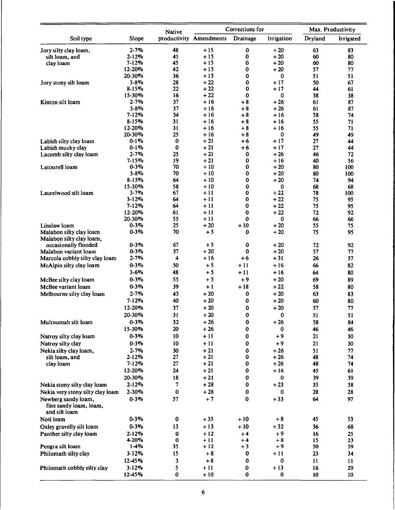|                                                                |                        | <b>Native</b> |                         | Corrections for |                   |          | Max. Productivity |
|----------------------------------------------------------------|------------------------|---------------|-------------------------|-----------------|-------------------|----------|-------------------|
| Soil type                                                      | Slope                  |               | productivity Amendments | Drainage        | <b>Irrigation</b> | Dryland  | Irrigated         |
| Jory silty clay loam,                                          | $2 - 7%$               | 48            | $+15$                   | 0               | $+20$             | 63       | 83                |
| silt loam, and                                                 | $2 - 12%$              | 45            | $+15$                   | 0               | $+20$             | 60       | 80                |
| clay loam                                                      | $7 - 12%$              | 45            | $+15$                   | 0               | + 20              | 60       | 80                |
|                                                                | 12-20%                 | 42            | $+15$                   | 0               | $+20$             | 57       | 77                |
|                                                                | 20-30%                 | 36            | + 15<br>$+22$           | 0               | 0                 | 51       | 51                |
| Jory stony silt loam                                           | $3 - 8\%$<br>$8 - 15%$ | 28<br>22      | $+22$                   | 0<br>0          | $+17$<br>$+17$    | 50<br>44 | 67<br>61          |
|                                                                | 15-30%                 | 16            | $+22$                   | 0               | 0                 | 38       | 38                |
| Kinton silt loam                                               | $2 - 7%$               | 37            | $+16$                   | $+8$            | $+26$             | 61       | 87                |
|                                                                | $3 - 8\%$              | 37            | $+16$                   | $+8$            | $+26$             | 61       | 87                |
|                                                                | $7 - 12%$              | 34            | + 16                    | $+8$            | + 16              | 58       | 74                |
|                                                                | $8 - 15%$              | 31            | $+16$                   | $+8$            | $+16$             | 55       | 71                |
|                                                                | 12-20%                 | 31            | $+16$                   | $+8$            | $+16$             | 55       | 71                |
|                                                                | 20-30%                 | 25            | + 16                    | $+8$            | 0                 | 49       | 49                |
| Labish silty clay loam                                         | $0 - 1\%$              | 0             | $+21$                   | +6              | $+17$             | 27       | 44                |
| Labish mucky clay                                              | $0 - 1\%$              | $\bf{0}$      | $+21$                   | +6              | $+17$             | 27       | 44                |
| Lacomb silty clay loam                                         | $2 - 7\%$<br>$7 - 15%$ | 25<br>19      | $+21$<br>$+21$          | 0<br>0          | + 26<br>+ 16      | 46<br>40 | 72<br>56          |
| Latourell loam                                                 | $0 - 3\%$              | 70            | $+10$                   | 0               | $+20$             | 80       | 100               |
|                                                                | $3 - 8\%$              | 70            | + 10                    | 0               | $+20$             | 80       | 100               |
|                                                                | $8 - 15%$              | 64            | $+10$                   | 0               | $+20$             | 74       | 94                |
|                                                                | 15-30%                 | 58            | + 10                    | 0               | 0                 | 68       | 68                |
| Laurelwood silt loam                                           | $3 - 7\%$              | 67            | + 11                    | 0               | $+22$             | 78       | 100               |
|                                                                | $3 - 12%$              | 64            | $+11$                   | 0               | $+22$             | 75       | 95                |
|                                                                | $7 - 12%$              | 64            | $+11$                   | 0               | $+22$             | 75       | 95                |
|                                                                | 12-20%                 | 61            | + 11                    | 0               | $+22$             | 72       | 92                |
|                                                                | 20-30%                 | 55            | + 11                    | 0               | 0                 | 66       | 66                |
| Linslaw loam                                                   | $0 - 3\%$<br>$0 - 3\%$ | 25<br>70      | $+20$<br>$+5$           | $+10$           | $+20$             | 55       | 75                |
| Malabon silty clay loam<br>Malabon silty clay loam,            |                        |               |                         | 0               | $+20$             | 75       | 95                |
| occasionally flooded                                           | $0 - 3\%$              | 67            | $+5$                    | 0               | + 20              | 72       | 92                |
| Malabon variant loam                                           | $0 - 3\%$              | 37            | $+20$                   | 0               | $+20$             | 57       | 77                |
| Marcola cobbly silty clay loam                                 | $2 - 7%$               | 4             | $+16$                   | $+6$            | $+31$             | 26       | 57                |
| McAlpin silty clay loam                                        | $0 - 3\%$              | 50            | $+5$                    | $+11$           | $+16$             | 66       | 82                |
|                                                                | $3 - 6%$               | 48            | $+5$                    | $+11$           | $+16$             | 64       | 80                |
| McBee silty clay loam                                          | $0 - 3\%$              | 55            | $+5$                    | $+9$            | $+20$             | 69       | 89                |
| McBee variant loam                                             | $0 - 3\%$              | 39            | $+1$                    | $+18$           | $+22$             | 58       | 80                |
| Melbourne silty clay loam                                      | $2 - 7\%$              | 43            | $+20$                   | $\bf{0}$        | $+20$             | 63       | 83                |
|                                                                | $7 - 12%$              | 40            | $+20$                   | 0               | $+20$             | 60       | 80                |
|                                                                | 12-20%                 | 37            | $+20$                   | 0               | $+20$             | 57       | 77                |
|                                                                | 20-30%                 | 31            | $+20$                   | 0               | 0                 | 51       | 51                |
| Multnomah silt loam                                            | $0 - 3\%$              | 32            | $+26$                   | 0               | $+26$             | 58       | 84                |
|                                                                | 15-30%                 | 20            | $+26$                   | 0               | $\bf{0}$          | 46       | 46                |
| Natroy silty clay loam                                         | $0 - 3\%$              | 10            | $+11$                   | 0               | $+9$              | 21       | 30                |
| Natroy silty clay                                              | $0 - 3\%$              | 10            | $+11$                   | 0               | $+9$              | 21       | 30                |
| Nekia silty clay loam,                                         | $2 - 7\%$              | 30            | $+21$                   | 0               | $+26$             | 51       | 77                |
| silt loam, and                                                 | $2 - 12%$              | 27            | $+21$                   | 0               | $+26$             | 48       | 74                |
| clay loam                                                      | $7 - 12%$              | 27            | $+21$                   | 0               | $+26$             | 48       | 74                |
|                                                                | 12-20%                 | 24            | $+21$                   | 0               | $+16$             | 45       | 61                |
|                                                                | 20-30%                 | 18            | $+21$                   | 0               | $\bf{0}$          | 39       | 39                |
| Nekia stony silty clay loam                                    | $2 - 12%$              | 7             | $+28$                   | 0               | $+23$             | 35       | 58                |
| Nekia very stony silty clay loam                               | 2-30%                  | $\bf{0}$      | $+28$                   | 0               | $\bf{0}$          | 28       | 28                |
| Newberg sandy loam,<br>fine sandy loam, loam,<br>and silt loam | $0 - 3\%$              | 57            | $+7$                    | 0               | $+33$             | 64       | 97                |
| Noti loam                                                      | $0 - 3\%$              | $\bf{0}$      | $+35$                   | $+10$           | $+8$              | 45       | 53                |
| Oxley gravelly silt loam                                       | $0 - 3\%$              | 13            | $+13$                   | $+10$           | $+32$             | 36       | 68                |
| Panther silty clay loam                                        | $2 - 12%$              | $\bf{0}$      | $+12$                   | $+4$            | $+9$              | 16       | 25                |
|                                                                | 4-20%                  | $\bf{o}$      | $+11$                   | $+4$            | $+8$              | 15       | 23                |
| Pengra silt loam                                               | $1-4%$                 | 35            | $+12$                   | $+3$            | $+9$              | 50       | 59                |
| Philomath silty clay                                           | $3 - 12%$              | 15            | $+8$                    | 0               | $+11$             | 23       | 34                |
|                                                                | 12-45%                 | 3             | $+8$                    | 0               | 0                 | 11       | 11                |
| Philomath cobbly silty clay                                    | $3 - 12%$              | 5             | $+11$                   | 0               | $+13$             | 16       | 29                |
|                                                                | $12 - 45%$             | 0             | $+10$                   | 0               | 0                 | 10       | 10                |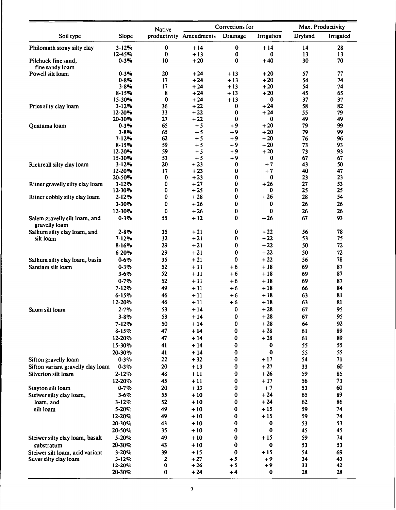|                                                |                        | <b>Native</b> |                         | Corrections for |                | Max. Productivity |           |
|------------------------------------------------|------------------------|---------------|-------------------------|-----------------|----------------|-------------------|-----------|
| Soil type                                      | Slope                  |               | productivity Amendments | Drainage        | Irrigation     | <b>Dryland</b>    | Irrigated |
| Philomath stony silty clay                     | $3 - 12%$              | $\pmb{0}$     | $+14$                   | $\pmb{0}$       | $+14$          | 14                | 28        |
|                                                | 12-45%                 | 0             | $+13$                   | 0<br>0          | 0              | 13                | 13        |
| Pilchuck fine sand,<br>fine sandy loam         | $0 - 3\%$              | 10            | $+20$                   |                 | $+40$          | 30                | 70        |
| Powell silt loam                               | $0 - 3\%$              | 20            | $+24$                   | $+13$           | $+20$          | 57                | 77        |
|                                                | $0 - 8\%$              | 17            | $+24$                   | $+13$           | $+20$          | 54                | 74        |
|                                                | $3 - 8\%$              | 17            | $+24$                   | $+13$           | $+20$          | 54                | 74        |
|                                                | $8 - 15%$<br>15-30%    | 8<br>0        | $+24$<br>$+24$          | $+13$<br>$+13$  | $+20$<br>0     | 45<br>37          | 65<br>37  |
| Price silty clay loam                          | $3 - 12%$              | 36            | $+22$                   | 0               | $+24$          | 58                | 82        |
|                                                | 12-20%                 | 33            | $+22$                   | $\bf{0}$        | $+24$          | 55                | 79        |
|                                                | 20-30%                 | 27            | $+22$                   | 0               | 0              | 49                | 49        |
| Quatama loam                                   | $0 - 3\%$              | 65            | $+5$                    | $+9$            | $+20$          | 79                | 99        |
|                                                | $3 - 8\%$<br>$7 - 12%$ | 65<br>62      | $+5$<br>$+5$            | $+9$<br>+9      | $+20$<br>$+20$ | 79<br>76          | 99<br>96  |
|                                                | $8 - 15%$              | 59            | $+5$                    | +9              | $+20$          | 73                | 93        |
|                                                | 12-20%                 | 59            | $+5$                    | $+9$            | $+20$          | 73                | 93        |
|                                                | 15-30%                 | 53            | $+5$                    | +9              | 0              | 67                | 67        |
| Rickreall silty clay loam                      | $3 - 12%$              | 20            | $+23$                   | 0               | $+7$           | 43                | 50        |
|                                                | 12-20%<br>20-50%       | 17<br>0       | $+23$<br>$+23$          | 0<br>0          | $+7$<br>0      | 40<br>23          | 47<br>23  |
| Ritner gravelly silty clay loam                | $3 - 12%$              | 0             | $+27$                   | 0               | $+26$          | 27                | 53        |
|                                                | $12 - 30%$             | 0             | $+25$                   | 0               | 0              | 25                | 25        |
| Ritner cobbly silty clay loam                  | $2 - 12%$              | 0             | $+28$                   | 0               | $+26$          | 28                | 54        |
|                                                | $3 - 30%$              | 0             | $+26$                   | 0               | 0              | 26                | 26        |
|                                                | 12-30%                 | 0             | $+26$                   | 0               | $\bf{0}$       | 26                | 26        |
| Salem gravelly silt loam, and<br>gravelly loam | $0 - 3\%$              | 55            | $+12$                   | 0               | $+26$          | 67                | 93        |
| Salkum silty clay loam, and                    | $2 - 8\%$              | 35            | $+21$                   | $\bf{0}$        | $+22$          | 56                | 78        |
| silt loam                                      | $7 - 12%$              | 32            | $+21$                   | 0<br>0          | $+22$<br>$+22$ | 53<br>50          | 75<br>72  |
|                                                | $8 - 16%$<br>$6 - 20%$ | 29<br>29      | $+21$<br>$+21$          | 0               | $+22$          | 50                | 72        |
| Salkum silty clay loam, basin                  | $0 - 6\%$              | 35            | $+21$                   | $\bf{0}$        | $+22$          | 56                | 78        |
| Santiam silt loam                              | $0 - 3\%$              | 52            | $+11$                   | $+6$            | $+18$          | 69                | 87        |
|                                                | $3 - 6%$               | 52            | +11                     | +6              | $+18$          | 69                | 87        |
|                                                | $0 - 7%$               | 52            | $+11$                   | +6              | $+18$          | 69                | 87        |
|                                                | $7 - 12%$              | 49            | $+11$                   | +6              | $+18$          | 66                | 84        |
|                                                | $6 - 15%$              | 46            | $+11$                   | +6              | $+18$          | 63                | 81        |
|                                                | 12-20%                 | 46            | $+11$                   | $+6$            | $+18$          | 63                | 81        |
| Saum silt loam                                 | $2 - 7\%$              | 53            | $+14$                   | 0               | $+28$          | 67                | 95        |
|                                                | $3 - 8\%$              | 53            | $+14$                   | $\bf{0}$        | $+28$          | 67                | 95        |
|                                                | $7 - 12%$              | 50            | $+14$                   | 0               | $+28$          | 64                | 92        |
|                                                | $8 - 15%$<br>12-20%    | 47<br>47      | + 14<br>$+14$           | 0<br>0          | $+28$<br>$+28$ | 61<br>61          | 89<br>89  |
|                                                | 15-30%                 | 41            | $+14$                   | 0               | 0              | 55                | 55        |
|                                                | 20-30%                 | 41            | $+14$                   | 0               | $\bf{0}$       | 55                | 55        |
| Sifton gravelly loam                           | $0 - 3\%$              | 22            | $+32$                   | $\bf{0}$        | + 17           | 54                | 71        |
| Sifton variant gravelly clay loam              | $0 - 3\%$              | 20            | $+13$                   | 0               | $+27$          | 33                | 60        |
| Silverton silt loam                            | $2 - 12%$              | 48            | $+11$                   | 0               | $+26$          | 59                | 85        |
|                                                | 12-20%                 | 45            | $+11$                   | 0               | $+17$          | 56                | 73        |
| Stayton silt loam                              | $0 - 7%$               | 20            | $+33$                   | $\bf{0}$        | $+7$           | 53                | 60        |
| Steiwer silty clay loam,                       | $3 - 6\%$              | 55            | $+10$                   | 0               | $+24$          | 65                | 89        |
| loam, and                                      | $3 - 12%$              | 52            | $+10$                   | 0               | $+24$          | 62                | 86        |
| silt loam                                      | $5 - 20%$              | 49<br>49      | $+10$<br>$+10$          | 0<br>$\bf{0}$   | $+15$<br>$+15$ | 59<br>59          | 74<br>74  |
|                                                | 12-20%<br>20-30%       | 43            | $+10$                   | 0               | 0              | 53                | 53        |
|                                                | 20-50%                 | 35            | $+10$                   | 0               | 0              | 45                | 45        |
| Steiwer silty clay loam, basalt                | 5-20%                  | 49            | $+10$                   | 0               | $+15$          | 59                | 74        |
| substratum                                     | 20-30%                 | 43            | $+10$                   | 0               | 0              | 53                | 53        |
| Steiwer silt loam, acid variant                | $3 - 20%$              | 39            | $+15$                   | 0               | + 15           | 54                | 69        |
| Suver silty clay loam                          | $3 - 12%$              | 2             | $+27$                   | $+5$            | +9             | 34                | 43        |
|                                                | 12-20%                 | $\bf o$       | $+26$                   | $+5$            | +9             | 33                | 42        |
|                                                | 20-30%                 | 0             | $+24$                   | $+4$            | 0              | 28                | 28        |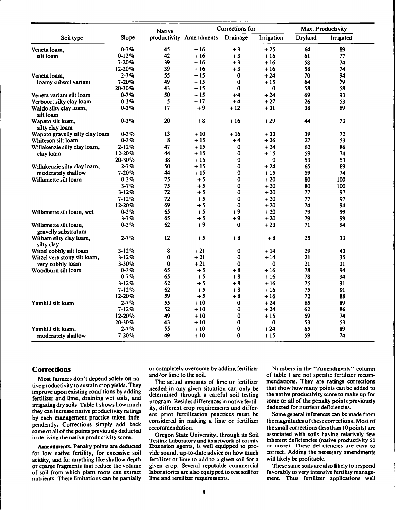|                                       |           | <b>Native</b> |                         | Corrections for |            |         | Max. Productivity |
|---------------------------------------|-----------|---------------|-------------------------|-----------------|------------|---------|-------------------|
| Soil type                             | Slope     |               | productivity Amendments | Drainage        | Irrigation | Dryland | Irrigated         |
| Veneta loam,                          | $0 - 7%$  | 45            | $+16$                   | $+3$            | $+25$      | 64      | 89                |
| silt loam                             | $0 - 12%$ | 42            | $+16$                   | $+3$            | $+16$      | 61      | 77                |
|                                       | 7-20%     | 39            | $+16$                   | $+3$            | $+16$      | 58      | 74                |
|                                       | 12-20%    | 39            | $+16$                   | $+3$            | $+16$      | 58      | 74                |
| Veneta loam,                          | $2 - 7%$  | 55            | $+15$                   | 0               | $+24$      | 70      | 94                |
| loamy subsoil variant                 | 7-20%     | 49            | $+15$                   | $\bf{0}$        | $+15$      | 64      | 79                |
|                                       | 20-30%    | 43            | $+15$                   | $\bf{0}$        | $\bf{0}$   | 58      | 58                |
| Veneta variant silt loam              | $0 - 7%$  | 50            | $+15$                   | $+4$            | $+24$      | 69      | 93                |
| Verboort silty clay loam              | $0 - 3\%$ | 5             | $+17$                   | $+4$            | $+27$      | 26      | 53                |
| Waldo silty clay loam,<br>silt loam   | $0 - 3\%$ | 17            | $+9$                    | $+12$           | $+31$      | 38      | 69                |
| Wapato silt loam,<br>silty clay loam  | $0 - 3\%$ | 20            | $+8$                    | $+16$           | $+29$      | 44      | 73                |
| Wapato gravelly silty clay loam       | $0 - 3\%$ | 13            | $+10$                   | $+16$           | $+33$      | 39      | 72                |
| Whiteson silt loam                    | $0 - 3\%$ | 8             | $+15$                   | $+4$            | $+26$      | 27      | 53                |
| Willakenzie silty clay loam,          | $2 - 12%$ | 47            | $+15$                   | 0               | $+24$      | 62      | 86                |
| clay loam                             | 12-20%    | 44            | $+15$                   | 0               | $+15$      | 59      | 74                |
|                                       | 20-30%    | 38            | $+15$                   | $\bf{0}$        | $\bf{0}$   | 53      | 53                |
| Willakenzie silty clay loam,          | $2 - 7%$  | 50            | $+15$                   | $\bf{0}$        | $+24$      | 65      | 89                |
| moderately shallow                    | 7-20%     | 44            | + 15                    | 0               | $+15$      | 59      | 74                |
| Willamette silt loam                  | $0 - 3\%$ | 75            | $+5$                    | $\bf{0}$        | $+20$      | 80      | 100               |
|                                       | $3 - 7%$  | 75            | $+5$                    | $\bf{0}$        | $+20$      | 80      | 100               |
|                                       | $3 - 12%$ | 72            | $+5$                    | $\bf{0}$        | $+20$      | 77      | 97                |
|                                       | $7 - 12%$ | 72            | $+5$                    | $\bf{0}$        | $+20$      | 77      | 97                |
|                                       | 12-20%    | 69            | $+5$                    | $\bf{0}$        | $+20$      | 74      | 94                |
| Willamette silt loam, wet             | $0 - 3\%$ | 65            | $+5$                    | $+9$            | $+20$      | 79      | 99                |
|                                       | $3 - 7%$  | 65            | $+5$                    | $+9$            | $+20$      | 79      | 99                |
| Willamette silt loam,                 | 0-3%      | 62            | $+9$                    | 0               | $+23$      | 71      | 94                |
| gravelly substratum                   |           |               |                         |                 |            |         |                   |
| Witham silty clay loam,<br>silty clay | $2 - 7%$  | 12            | $+5$                    | $+8$            | $+8$       | 25      | 33                |
| Witzel cobbly silt loam               | 3-12%     | 8             | $+21$                   | 0               | $+14$      | 29      | 43                |
| Witzel very stony silt loam,          | 3-12%     | 0             | $+21$                   | 0               | $+14$      | 21      | 35                |
| very cobbly loam                      | 3-30%     | $\bf{0}$      | $+21$                   | $\bf{0}$        | $\bf{0}$   | 21      | 21                |
| Woodburn silt loam                    | $0 - 3\%$ | 65            | $+5$                    | $+8$            | $+16$      | 78      | 94                |
|                                       | $0 - 7%$  | 65            | $+5$                    | $+8$            | $+16$      | 78      | 94                |
|                                       | $3 - 12%$ | 62            | $+5$                    | $+8$            | $+16$      | 75      | 91                |
|                                       | $7 - 12%$ | 62            | $+5$                    | $+8$            | $+16$      | 75      | 91                |
|                                       | 12-20%    | 59            | $+5$                    | $+8$            | $+16$      | 72      | 88                |
| Yamhill silt loam                     | $2 - 7\%$ | 55            | $+10$                   | $\bf{0}$        | $+24$      | 65      | 89                |
|                                       | $7 - 12%$ | 52            | + 10                    | $\bf{0}$        | $+24$      | 62      | 86                |
|                                       | 12-20%    | 49            | $+10$                   | 0               | $+15$      | 59      | 74                |
|                                       | 20-30%    | 43            | $+10$                   | 0               | 0          | 53      | 53                |
| Yamhill silt loam,                    | $2 - 7%$  | 55            | $+10$                   | $\bf{0}$        | $+24$      | 65      | 89                |
| moderately shallow                    | 7-20%     | 49            | + 10                    | $\bf{0}$        | + 15       | 59      | 74                |

#### **Corrections**

**Most farmers don't depend solely on native productivity to sustain crop yields. They improve upon existing conditions by adding fertilizer and lime, draining wet soils, and irrigating dry soils. Table <sup>1</sup> shows how much they can increase native productivity ratings by each management practice taken independently. Corrections simply add back**  $\frac{1}{2}$  **some** or all of the points previously deducted **in deriving the native productivity score.**

**Amendments. Penalty points are deducted for low native fertility, for excessive soil acidity, and for anything like shallow depth or coarse fragments that reduce the volume of soil from which plant roots can extract nutrients. These limitations can be partially** **or completely overcome by adding fertilizer and/or lime to the soil.**

**The actual amounts of lime or fertilizer needed in any given situation can only be determined through a careful soil testing program. Besides differences in native fertility, different crop requirements and different prior fertilization practices must be considered in making a lime or fertilizer recommendation.**

**Oregon State University, through its Soil Testing Laboratory and its network of county Extension agents, is well equipped to provide sound, up-to-date advice on how much fertilizer or lime to add to a given soil for a given crop. Several reputable commercial laboratories are also equipped to test soil for lime and fertilizer requirements.**

**Numbers in the "Amendments" column of table <sup>1</sup> are not specific fertilizer recommendations. They are ratings corrections that show how many points can be added to the native productivity score to make up for some or all of the penalty points previously deducted for nutrient deficiencies.**

**Some general inferences can be made from the magnitudes ofthese corrections. Most of the small corrections (less than 10 points) are associated with soils having relatively few inherent deficiencies (native productivity SO or more). These deficiencies are easy to correct. Adding the necessary amendments will likely be profitable.**

**These same soils are also likely to respond favorably to very intensive fertility management. Thus fertilizer applications well**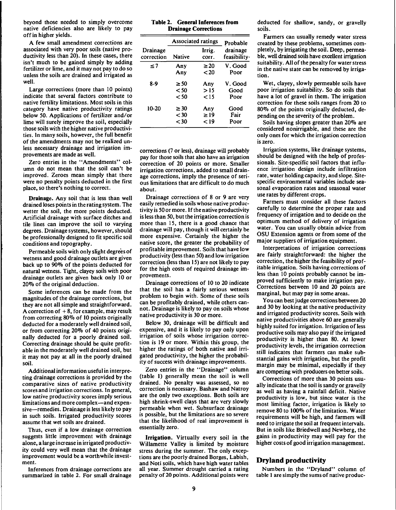beyond those needed to simply overcome native deficiencies also are likely to pay off in higher yields.

A few small amendment corrections are associated with very poor soils (native productivity less than 20). In these cases, there isn't much to be gained simply by adding fertilizer or lime, and it may not pay to do so unless the soils are drained and irrigated as well.

Large corrections (more than 10 points) indicate that several factors contribute to native fertility limitations. Most soils in this category have native productivity ratings below 50. Applications of fertilizer and/or lime will surely improve the soil, especially those soils with the higher native productivities. In many soils, however, the full benefit of the amendments may not be realized unless necessary drainage and irrigation improvements are made as well.

Zero entries in the "Amendments" column do not mean that the soil can't be improved. Zeroes mean simply that there were no penalty points deducted in the first place, so there's nothing to correct.

**Drainage.** Any soil that is less than well drained loses points in the rating system. The wetter the soil, the more points deducted. Artificial drainage with surface ditches and tile lines can improve the soil to varying degrees. Drainage systems, however, should be professionally designed to fit specific soil conditions and topography.

Permeable soils with only slight degrees of wetness and good drainage outlets are given back up to 90% of the points deducted for natural wetness. Tight, clayey soils with poor drainage outlets are given back only 10 or 20% of the original deduction.

Some inferences can be made from the magnitudes of the drainage corrections, but they are not all simple and straightforward. A correction of  $+8$ , for example, may result from correcting 80% of 10 points originally deducted for a moderately well drained soil, or from correcting 20% of 40 points originally deducted for a poorly drained soil. Correcting drainage should be quite profitable in the moderately well drained soil, but it may not pay at all in the poorly drained soil.

Additional information useful in interpreting drainage corrections is provided by the comparative sizes of native productivity scores and irrigation corrections. In general, low native productivity scores imply serious limitations and more complex—and expensive—remedies. Drainage is less likely to pay in such soils. Irrigated productivity scores assume that wet soils are drained.

Thus, even if a low drainage correction suggests little improvement with drainage alone, a large increase in irrigated productivity could very well mean that the drainage improvement would be a worthwhile investment.

Inferences from drainage corrections are summarized in table 2. For small drainage

|  |  | Table 2. General Inferences from |  |
|--|--|----------------------------------|--|
|  |  | <b>Drainage Corrections</b>      |  |

|                        | <b>Associated ratings</b> | Probable        |                          |
|------------------------|---------------------------|-----------------|--------------------------|
| Drainage<br>correction | <b>Native</b>             | Irrig.<br>COTT. | drainage<br>feasibility· |
| $\leq 7$               | Any                       | $\geq 20$       | V. Good                  |
|                        | Any                       | $20$            | Poor                     |
| 8-9                    | $\geq 50$                 | Any             | V. Good                  |
|                        | < 50                      | >15             | Good                     |
|                        | $\leq 50$                 | $\leq$ 15       | Poor                     |
| 10-20                  | $\geq 30$                 | Any             | Good                     |
|                        | $<$ 30                    | $\geq$ 19       | Fair                     |
|                        | ${<}30$                   | ⊂19             | Poor                     |

corrections (7 or less), drainage will probably pay for those soils that also have an irrigation correction of 20 points or more. Smaller irrigation corrections, added to small drainage corrections, imply the presence of serious limitations that are difficult to do much about.

Drainage corrections of 8 or 9 are very easily remedied in soils whose native productivity is 50 or more. If the native productivity is less than 50, but the irrigation correction is more than 15, there is a good chance that drainage will pay, though it will certainly be more expensive. Certainly the higher the native score, the greater the probability of profitable improvement. Soils that have low productivity (less than 50) and low irrigation correction (less than 15) are not likely to pay for the high costs of required drainage improvements.

Drainage corrections of 10 to 20 indicate that the soil has a fairly serious wetness problem to begin with. Some of these soils can be profitably drained, while others cannot. Drainage is likely to pay on soils whose native productivity is 30 or more.

Below 30, drainage will be difficult and expensive, and it is likely to pay only upon irrigation of soils whose irrigation correction is 19 or more. Within this group, the higher the ratings of both native and irrigated productivity, the higher the probability of success with drainage improvements.

Zero entries in the "Drainage" column (table 1) generally mean the soil is well drained. No penalty was assessed, so no correction is necessary. Bashaw and Natroy are the only two exceptions. Both soils are high shrink-swell clays that are very slowly permeable when wet. Subsurface drainage is possible, but the limitations are so severe that the likelihood of real improvement is essentially zero.

**Irrigation.** Virtually every soil in the Willamette Valley is limited by moisture stress during the summer. The only exceptions are the poorly drained Borges, Labish, and Noti soils, which have high water tables all year. Summer drought carried a rating penalty of 20 points. Additional points were

deducted for shallow, sandy, or gravelly soils.

Farmers can usually remedy water stress created by these problems, sometimes completely, by irrigating the soil. Deep, permeable, well drained soils have excellent irrigation suitability. All of the penalty for water stress in the native state can be removed by irrigation.

Wet, clayey, slowly permeable soils have poor irrigation suitability. So do soils that have a lot of gravel in them. The irrigation correction for these soils ranges from 20 to 80% of the points originally deducted, depending on the severity of the problem.

Soils having slopes greater than 20% are considered nonirrigable, and these are the only ones for which the irrigation correction is zero.

Irrigation systems, like drainage systems, should be designed with the help of professionals. Site-specific soil factors that influence irrigation design include infiltration rate, water holding capacity, and slope. Sitespecific environmental variables include seasonal evaporation rates and seasonal water use rates by different crops.

Farmers must consider all these factors carefully to determine the proper rate and frequency of irrigation and to decide on the optimum method of delivery of irrigation water. You can usually obtain advice from OSU Extension agents or from some of the major suppliers of irrigation equipment.

Interpretations of irrigation corrections are fairly straightforward: the higher the correction, the higher the feasibility of profitable irrigation. Soils having corrections of less than 10 points probably cannot be improved sufficiently to make irrigation pay. Corrections between 10 and 20 points are marginal, but may pay in some areas.

You can best judge corrections between 20 and 30 by looking at the native productivity and irrigated productivity scores. Soils with native productivities above 60 are generally highly suited for irrigation. Irrigation of less productive soils may also pay if the irrigated productivity is higher than 80. At lower productivity levels, the irrigation correction still indicates that farmers can make substantial gains with irrigation, but the profit margin may be minimal, especially if they are competing with producers on better soils.

Corrections of more than 30 points usually indicate that the soil is sandy or gravelly as well as having a rainfall deficit. Native productivity is low, but since water is the most limiting factor, irrigation is likely to remove 80 to 100% of the limitation. Water requirements will be high, and farmers will need to irrigate the soil at frequent intervals. But in soils like Briedwell and Newberg, the gains in productivity may well pay for the higher costs of good irrigation management.

### **Dryland productivity**

Numbers in the "Dryland" column of table <sup>1</sup> are simply the sums of native produc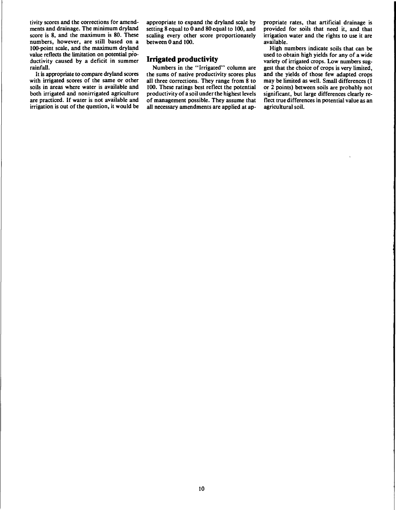tivity scores and the corrections for amend-<br>ments and drainage. The minimum dryland setting 8 equal to 0 and 80 equal to 100, and provided for soils that need it, and that ments and drainage. The minimum dryland setting 8 equal to 0 and 80 equal to 100, and provided for soils that need it, and that score is 8, and the maximum is 80. These scaling every other score proportionately irrigation numbers, however, are still based on a between 0 and 100. available.<br>100-point scale, and the maximum dryland and 100. This is that can be available. 100-point scale, and the maximum dryland value reflects the limitation on potential pro-<br>ductivity caused by a deficit in summer **Irrigated productivity** ductivity caused by a deficit in summer **Irrigated productivity** variety of irrigated crops. Low numbers sug-<br>Numbers in the "Irrigated" column are eest that the choice of crops is very limited.

scaling every other score proportionately irrigation water and the rights to use it are between 0 and 100.

infall.<br>It is appropriate to compare dryland scores the sums of native productivity scores plus and the yields of those few adapted crops It is appropriate to compare dryland scores the sums of native productivity scores plus and the yields of those few adapted crops with irrigated scores of the same or other all three corrections. They range from 8 to may b with irrigated scores of the same or other all three corrections. They range from 8 to may be limited as well. Small differences (1 soils in areas where water is available and 100. These ratings best reflect the potential soils in areas where water is available and 100. These ratings best reflect the potential or 2 points) between soils are probably not both irrigated and nonirrigated agriculture productivity of a soil under the highest lev both irrigated and nonirrigated agriculture productivity of a soil under the highest levels are practiced. If water is not available and of management possible. They assume that are practiced. If water is not available and of management possible. They assume that flect true differences in potential value as an irrigation is out of the question, it would be all necessary amendments are applied at a all necessary amendments are applied at ap-

igh yields for any of a wide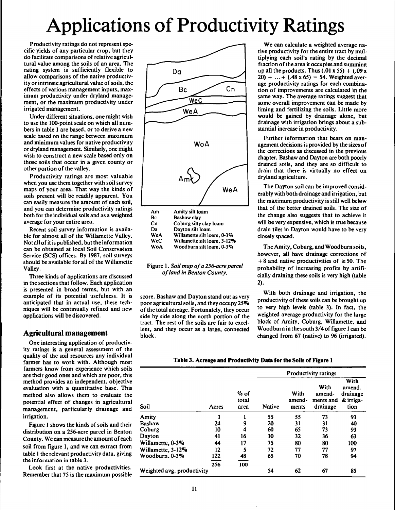# Applications of Productivity Ratings

Productivity ratings do not represent specific yields of any particular crop, but they do facilitate comparisons of relative agricultural value among the soils of an area. The rating system is sufficiently flexible to allow comparisons of the native productivity or intrinsic agricultural value of soils, the effects of various management inputs, maximum productivity under dryland management, or the maximum productivity under irrigated management.

Under different situations, one might wish to use the 100-point scale on which all numbers in table <sup>1</sup> are based, or to derive a new scale based on the range between maximum and minimum values for native productivity or dryland management. Similarly, one might wish to construct a new scale based only on those soils that occur in a given county or other portion of the valley.

Productivity ratings are most valuable when you use them together with soil survey maps of your area. That way the kinds of soils present will be readily apparent. You can easily measure the amount of each soil, and you can determine productivity ratings both for the individual soils and as a weighted average for your entire area.

Recent soil survey information is available for almost all of the Willamette Valley. Not all of it is published, but the information can be obtained at local Soil Conservation Service (SCS) offices. By 1987, soil surveys should be available for all of the Willamette Valley.

Three kinds of applications are discussed in the sections that follow. Each application is presented in broad terms, but with an example of its potential usefulness. It is anticipated that in actual use, these techniques will be continually refined and new applications will be discovered.

### **Agricultural management**

One interesting application of productivity ratings is a general assessment of the quality of the soil resources any individual farmer has to work with. Although most farmers know from experience which soils are their good ones and which are poor, this method provides an independent, objective evaluation with a quantitative base. This method also allows them to evaluate the potential effect of changes in agricultural management, particularly drainage and irrigation.

Figure 1 shows the kinds of soils and their distribution on a 256-acre parcel in Benton County. We can measure the amount of each soil from figure 1, and we can extract from table <sup>1</sup> the relevant productivity data, giving **the information in table 3.**

Look first at the native productivities. Remember that 75 is the maximum possible





score. Bashaw and Dayton stand out as very poor agriculturalsoils, and they occupy 25 % of the total acreage. Fortunately, they occur side by side along the north portion of the tract. The rest of the soils are fair to excellent, and they occur as a large, connected block.

We can calculate a weighted average native productivity for the entire tract by multiplying each soil's rating by the decimal fraction of the area it occupies and summing up all the products. Thus (.01 x 55) + (.09 x  $20$ ) + ... + (.48 x 65) = 54. Weighted average productivity ratings for each combination of improvements are calculated in the same way. The average ratings suggest that some overall improvement can be made by liming and fertilizing the soils. Little more would be gained by drainage alone, but drainage with irrigation brings about a substantial increase in productivity.

Further information that bears on management decisions is provided by the sizes of the corrections as discussed in the previous chapter. Bashaw and Dayton are both poorly drained soils, and they are so difficult to drain that there is virtually no effect on dryland agriculture.

The Dayton soil can be improved considerably with both drainage and irrigation, but the maximum productivity is still well below that of the better drained soils. The size of the change also suggests that to achieve it will be very expensive, which is true because drain tiles in Dayton would have to be very closely spaced.

The Amity, Coburg, and Woodburn soils, however, all have drainage corrections of  $+ 8$  and native productivities of  $\geq 50$ . The probability of increasing profits by artificially draining these soils is very high (table 2).

With both drainage and irrigation, the productivity of these soils can be brought up to very high levels (table 3). In fact, the weighted average productivity for the large block of Amity, Coburg, Willamette, and Woodburn in the south 3/4 of figure 1 can be changed from 67 (native) to 96 (irrigated).

| Table 3. Acreage and Productivity Data for the Soils of Figure 1 |
|------------------------------------------------------------------|
|------------------------------------------------------------------|

|                            |       |                          |               |                         | <b>Productivity ratings</b>             |                                                 |
|----------------------------|-------|--------------------------|---------------|-------------------------|-----------------------------------------|-------------------------------------------------|
| Soil                       | Acres | $\%$ of<br>total<br>area | <b>Native</b> | With<br>amend-<br>ments | With<br>amend-<br>ments and<br>drainage | With<br>amend.<br>drainage<br>& irriga-<br>tion |
| Amity                      | 3     |                          | 55            | 55                      | 73                                      | 93                                              |
| Bashaw                     | 24    | 9                        | 20            | 31                      | 31                                      | 40                                              |
| Coburg                     | 10    | 4                        | 60            | 65                      | 73                                      | 93                                              |
| Dayton                     | 41    | 16                       | 10            | 32                      | 36                                      | 63                                              |
| Willamette, 0-3%           | 44    | 17                       | 75            | 80                      | 80                                      | 100                                             |
| Willamette, 3-12%          | 12    | 5                        | 72            | 77                      | 77                                      | 97                                              |
| Woodburn, 0-3%             | 122   | 48                       | 65            | 70                      | 78                                      | 94                                              |
|                            | 256   | 100                      |               |                         |                                         |                                                 |
| Weighted avg. productivity |       |                          | 54            | 62                      | 67                                      | 85                                              |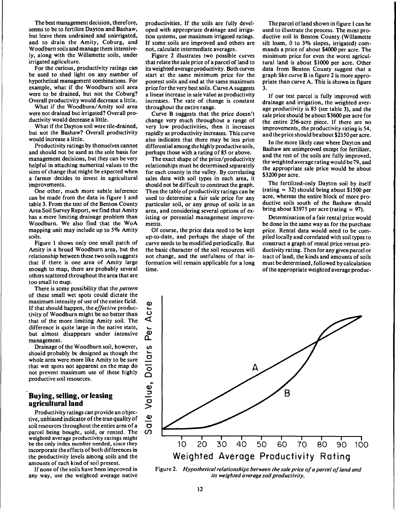The best management decision, therefore, seems to be to fertilize Dayton and Bashaw, but leave them undrained and unirrigated, and to drain the Amity, Coburg, and Woodburn soils and manage them intensively, along with the Willamette soils, under irrigated agriculture.

For the curious, productivity ratings can be used to shed light on any number of hypothetical management combinations. For example, what if the Woodburn soil area were to be drained, but not the Coburg? Overall productivity would decrease a little.

What if the Woodburn/Amity soil area were not drained but irrigated? Overall productivity would decrease a little.

What if the Dayton soil were tile-drained, but not the Bashaw? Overall productivity would increase a little.

Productivity ratings by themselves cannot and should not be used as the sole basis for management decisions, but they can be very helpful in attaching numerical values to the sizes of change that might be expected when a farmer decides to invest in agricultural improvements.

One other, much more subtle inference can be made from the data in figure <sup>1</sup> and table 3. From the text of the Benton County Area Soil Survey Report, we find that Amity has a more limiting drainage problem than Woodburn. We also find that the WoA mapping unit may include up to 5% Amity soils.

Figure <sup>1</sup> shows only one small patch of Amity in a broad Woodburn area, but the relationship between these two soils suggests that if there is one area of Amity large enough to map, there are probably several others scattered throughout the area that are too small to map.

There is some possibility that the *pattern* of these small wet spots could dictate the maximum intensity of use of the entire field. If that should happen, the *effective* productivity of Woodburn might be no better than that of the more limiting Amity soil. The difference is quite large in the native state, but almost disappears under intensive management.

Drainage of the Woodburn soil, however, should probably be designed as though the whole area were more like Amity to be sure that wet spots not apparent on the map do not prevent maximum use of these highly productive soil resources.

#### **Buying, selling, or leasing agricultural land**

Productivity ratings can provide an objective, unbiased indicator of the true quality of soil resources throughout the entire area of a parcel being bought, sold, or rented. The weighted average productivity ratings might be the only index number needed, since they incorporate the effects of both differences in the productivity levels among soils and the amounts of each kind of soil present.

If none of the soils have been improved in any way, use the weighted average native

productivities. If the soils are fully developed with appropriate drainage and irrigation systems, use maximum irrigated ratings. If some soils are improved and others are not, calculate intermediate averages.

Figure 2 illustrates two possible curves that relate the sale price of a parcel of land to its weighted average productivity. Both curves start at the same minimum price for the poorest soils and end at the same maximum price for the very best soils. Curve A suggests a linear increase in sale value as productivity increases. The rate of change is constant throughout the entire range.

Curve B suggests that the price doesn't change very much throughout a range of very low productivities, then it increases rapidly as productivity increases. This curve also indicates that there may be less price differential among the highly productive soils, perhaps those with a rating of 85 or above.

The exact shape of the price/productivity relationships must be determined separately for each county in the valley. By correlating sales data with soil types in each area, it should not be difficult to construct the graph. Then the table of productivity ratings can be used to determine a fair sale price for any particular soil, or any group of soils in an area, and considering several options of existing or potential management improvements.

Of course, the price data need to be kept up-to-date, and perhaps the shape of the curve needs to be modified periodically. But the basic character of the soil resources will not change, and the usefulness of that information will remain applicable for a long time.

The parcel of land shown in figure 1 can be used to illustrate the process. The most productive soil in Benton County (Willamette silt loam, 0 to 3% slopes, irrigated) commands a price of about \$4000 per acre. The minimum price for even the worst agricultural land is about \$1000 per acre. Other data from Benton County suggest that a graph like curve B in figure 2 is more appropriate than curve A. This is shown in figure 3.

If our test parcel is fully improved with drainage and irrigation, the weighted average productivity is 85 (see table 3), and the sale price should be about \$3600 per acre for the entire 256-acre piece. If there are no improvements, the productivity rating is 54, and the price should be about \$2150 per acre.

In the more likely case where Dayton and Bashaw are unimproved except for fertilizer, and the rest of the soils are fully improved, the weighted average rating would be 79, and the appropriate sale price would be about \$3200 per acre.

The fertilized-only Dayton soil by itself (rating = 32) should bring about \$1500 per acre, whereas the entire block of more productive soils south of the Bashaw should bring about \$3975 per acre (rating  $= 97$ ).

Determination of a fair rental price would be done in the same way as for the purchase price. Rental data would need to be compiled locally and correlated with soil types to construct a graph of rental price versus productivity rating. Then for any given parcel or tract of land, the kinds and amounts of soils must be determined, followed by calculation of the appropriate weighted average produc-



Figure 2. *Hypothetical relationships between the sale price ofa parcel ofland and its weighted average soilproductivity.*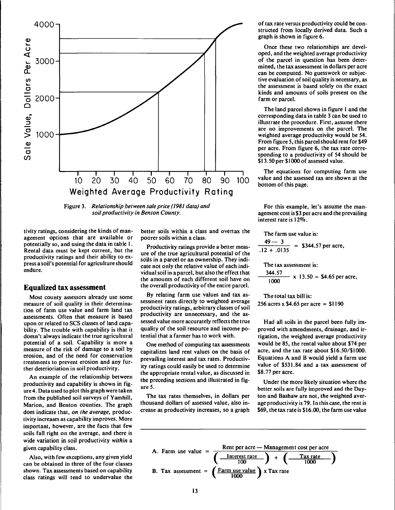

**Figure 3.** *Relationship between sale price (1981 data) and soilproductivity in Benton County.*

**tivity ratings, considering the kinds of management options that are available or potentially so, and using the data in table 1. Rental data must be kept current, but the productivity ratings and their ability to express a soil's potential for agriculture should endure.**

#### **Equalized tax assessment**

**Most county assessors already use some measure of soil quality in their determination of farm use value and farm land tax assessments. Often that measure is based upon or related to SCS classes of land capability. The trouble with capability is that it doesn't always indicate the true agricultural potential of a soil. Capability is more a measure of the risk of damage to a soil by erosion, and of the need for conservation treatments to prevent erosion and any further deterioriation in soil productivity.**

**An example of the relationship between productivity and capability is shown in figure 4. Data used to plot this graph were taken from the published soil surveys of Yamhill, Marion, and Benton counties. The graph does indicate that,** *on the average,* **productivity increases as capability improves. More important, however, are the facts that few soils fall right on the average, and there is wide variation in soil productivity** *within* **a given capability class.**

**Also, with few exceptions, any given yield can be obtained in three of the four classes shown. Tax assessments based on capability class ratings will tend to undervalue the**

**better soils within a class and overtax the poorer soils within a class.**

**Productivity ratings provide a better measure of the true agricultural potential of the soils in a parcel or an ownership. They indicate not only the relative value of each individual soil in a parcel, but also the effect that the amounts of each different soil have on the overall productivity of the entire parcel.**

**By relating farm use values and tax assessment rates directly to weighted average productivity ratings, arbitrary classes ofsoil productivity are unnecessary, and the assessed value more accurately reflects the true quality of the soil resource and income potential that a farmer has to work with.**

**One method of computing tax assessments capitalizes land rent values on the basis of prevailing interest and tax rates. Productivity ratings could easily be used to determine the appropriate rental value, as discussed in the preceding sections and illustrated in figure 5.**

**The tax rates themselves, in dollars per thousand dollars of assessed value, also increase as productivity increases, so a graph** **of tax rate versus productivity could be constructed from locally derived data. Such a graph is shown in figure 6.**

**Once these two relationships are developed, and the weighted average productivity of the parcel in question has been determined, the tax assessment in dollars per acre can be computed. No guesswork or subjective evaluation ofsoil quality is necessary, as the assessment is based solely on the exact kinds and amounts of soils present on the farm or parcel.**

**The land parcel shown in figure <sup>1</sup> and the corresponding data in table 3 can be used to illustrate the procedure. First, assume there are no improvements on the parcel. The weighted average productivity would be 54. From figure 5, this parcel should rent for \$49 per acre. From figure 6, the tax rate corresponding to a productivity of 54 should be \$13.50 per \$1000 of assessed value.**

**The equations for computing farm use value and the assessed tax are shown at the bottom of this page.**

**For this example, let's assume the management cost is \$3 per acre and the prevailing interest rate is 12%.**

**The farm use value is: 49— 3 .12 + .0135 = \$344.57 per acre. The tax assessment is 344.57 1000**  $\cdot$  **x** 13.50 = \$4.65 per acre.

**The total tax bill is: 256 acres x \$4.65 per acre = \$1190**

**Had all soils in the parcel been fully improved with amendments, drainage, and irrigation, the weighted average productivity would be 85, the rental value about \$74 per acre, and the tax rate about \$16.50/\$1000. Equations A and B would yield a farm use value of \$531.84 and a tax assessment of \$8.77 per acre.**

**Under the more likely situation where the better soils are fully improved and the Dayton and Bashaw are not, the weighted average productivity is 79. In this case, the rent is \$69, the tax rate is \$ 16.00, the farm use value**

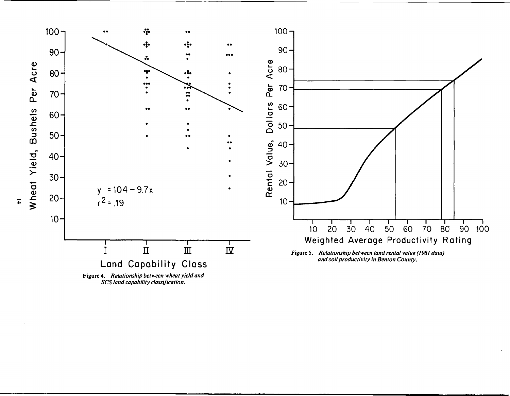

SCS land capability classification.

 $\overline{4}$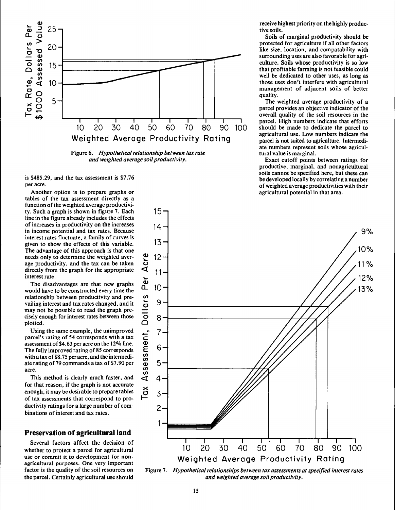

Figure 6. *Hypothetical relationship between tax rate and weighted average soilproductivity.*

 $15<sup>5</sup>$ 

is \$485.29, and the tax assessment is \$7.76 per acre.

Another option is to prepare graphs or tables of the tax assessment directly as a function of the weighted average productivity. Such a graph is shown in figure 7. Each line in the figure already includes the effects of increases in productivity on the increases in income potential and tax rates. Because interest rates fluctuate, a family of curves is given to show the effects of this variable. The advantage of this approach is that one needs only to determine the weighted average productivity, and the tax can be taken directly from the graph for the appropriate interest rate.

The disadvantages are that new graphs would have to be constructed every time the relationship between productivity and prevailing interest and tax rates changed, and it may not be possible to read the graph precisely enough for interest rates between those plotted.

Using the same example, the unimproved parcel's rating of 54 corresponds with a tax assessment of \$4.63 per acre on the  $12\%$  line. The fully improved rating of 85 corresponds with a tax of \$8.75 per acre, and the intermediate rating of 79 commands a tax of \$7.90 per acre.

This method is clearly much faster, and for that reason, if the graph is not accurate enough, it may be desirable to prepare tables of tax assessments that correspond to productivity ratings for a large number of combinations of interest and tax rates.

#### **Preservation of agricultural land**

Several factors affect the decision of whether to protect a parcel for agricultural use or commit it to development for nonagricultural purposes. One very important factor is the quality of the soil resources on the parcel. Certainly agricultural use should receive highest priority on the highly productive soils.

Soils of marginal productivity should be protected for agriculture if all other factors like size, location, and compatability with surrounding uses are also favorable for agriculture. Soils whose productivity is so low that profitable farming is not feasible could well be dedicated to other uses, as long as those uses don't interfere with agricultural management of adjacent soils of better quality.

The weighted average productivity of a parcel provides an objective indicator of the overall quality of the soil resources in the parcel. High numbers indicate that efforts should be made to dedicate the parcel to agricultural use. Low numbers indicate the parcel is not suited to agriculture. Intermediate numbers represent soils whose agricultural value is marginal.

Exact cutoff points between ratings for productive, marginal, and nonagricultural soils cannot be specified here, but these can be developed locally by correlating a number of weighted average productivities with their agricultural potential in that area.



Figure 7. *Hypotheticalrelationships between tax assessments atspecified interest rates and weighted average soilproductivity.*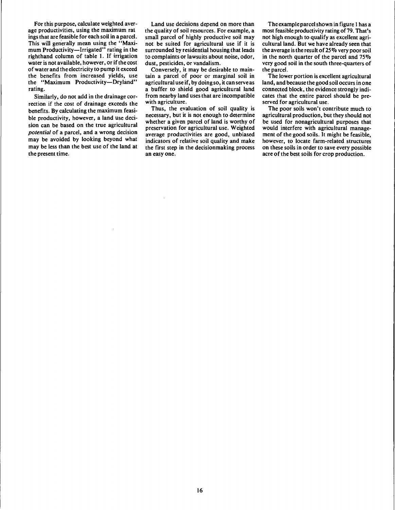For this purpose, calculate weighted average productivities, using the maximum rat ings that are feasible for each soil in a parcel. This will generally mean using the "Maximum Productivity—Irrigated" rating in the righthand column of table 1. If irrigation water is not available, however, or if the cost of water and the electricity to pump it exceed the benefits from increased yields, use the "Maximum Productivity—Dryland" rating.

Similarly, do not add in the drainage correction if the cost of drainage exceeds the benefits. By calculating the maximum feasible productivity, however, a land use decision can be based on the true agricultural *potential* of a parcel, and a wrong decision may be avoided by looking beyond what may be less than the best use of the land at the present time.

Land use decisions depend on more than the quality of soil resources. For example, a small parcel of highly productive soil may not be suited for agricultural use if it is surrounded by residential housing that leads to complaints or lawsuits about noise, odor, dust, pesticides, or vandalism.

Conversely, it may be desirable to maintain a parcel of poor or marginal soil in agricultural use if, by doing so, it can serve as a buffer to shield good agricultural land from nearby land uses that are incompatible with agriculture.

Thus, the evaluation of soil quality is necessary, but it is not enough to determine whether a given parcel of land is worthy of preservation for agricultural use. Weighted average productivities are good, unbiased indicators of relative soil quality and make the first step in the decisionmaking process an easy one.

The example parcelshown in figure <sup>1</sup> has a most feasible productivity rating of 79. That's not high enough to qualify as excellent agricultural land. But we have already seen that the average is the result of 25% very poorsoil in the north quarter of the parcel and 75% very good soil in the south three-quarters of the parcel.

The lower portion is excellent agricultural land, and because the good soil occurs in one connected block, the evidence strongly indicates that the entire parcel should be preserved for agricultural use.

The poor soils won't contribute much to agricultural production, but they should not be used for nonagricultural purposes that would interfere with agricultural management of the good soils. It might be feasible, however, to locate farm-related structures on these soils in order to save every possible acre of the best soils for crop production.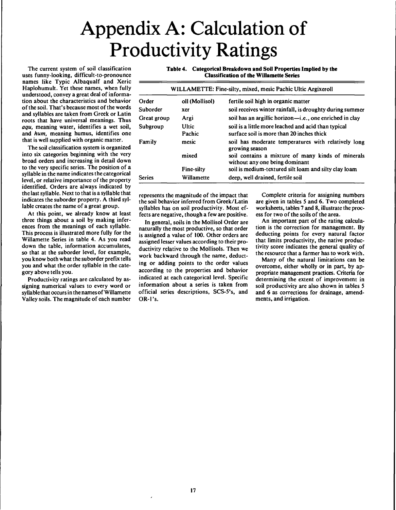## Appendix A: Calculation of Productivity Ratings

The current system of soil classification uses funny-looking, difficult-to-pronounce names like Typic Albaqualf and Xeric Haplohumult. Yet these names, when fully understood, convey a great deal of information about the characteristics and behavior of the soil. That's because most of the words and syllables are taken from Greek or Latin roots that have universal meanings. Thus *aqu,* meaning water, identifies a wet soil, and *hum,* meaning humus, identifies one that is well supplied with organic matter.

The soil classification system is organized into six categories beginning with the very broad orders and increasing in detail down to the very specific series. The position of a syllable in the name indicates the categorical level, or relative importance of the property identified. Orders are always indicated by the last syllable. Next to that is a syllable that indicates the suborder property. A third syllable creates the name of a great group.

At this point, we already know at least three things about a soil by making inferences from the meanings of each syllable. This process is illustrated more fully for the Willamette Series in table 4. As you read down the table, information accumulates, so that at the suborder level, for example, you know both what the suborder prefix tells you and what the order syllable in the category above tells you.

Productivity ratings are calculated by assigning numerical values to every word or syllable that occurs in the names of Willamette Valley soils. The magnitude of each number **Table 4. Categorical Breakdown and Soil Properties Implied by the Classification of the Willamette Series**

| WILLAMETTE: Fine-silty, mixed, mesic Pachic Ultic Argixeroll |                   |                                                                                                  |  |  |  |
|--------------------------------------------------------------|-------------------|--------------------------------------------------------------------------------------------------|--|--|--|
| Order                                                        | oll (Mollisol)    | fertile soil high in organic matter                                                              |  |  |  |
| Suborder                                                     | xer               | soil receives winter rainfall, is droughty during summer                                         |  |  |  |
| Great group                                                  | Argi              | soil has an argillic horizon-i.e., one enriched in clay                                          |  |  |  |
| Subgroup                                                     | Ultic<br>Pachic   | soil is a little more leached and acid than typical<br>surface soil is more than 20 inches thick |  |  |  |
| Family                                                       | mesic             | soil has moderate temperatures with relatively long<br>growing season                            |  |  |  |
|                                                              | mixed             | soil contains a mixture of many kinds of minerals<br>without any one being dominant              |  |  |  |
|                                                              | <b>Fine-silty</b> | soil is medium-textured silt loam and silty clay loam                                            |  |  |  |
| <b>Series</b>                                                | Willamette        | deep, well drained, fertile soil                                                                 |  |  |  |

represents the magnitude of the impact that the soil behavior inferred from Greek/Latin syllables has on soil productivity. Most effects are negative, though a few are positive.

In general, soils in the Mollisol Order are naturally the most productive, so that order is assigned a value of 100. Other orders are assigned lesser values according to their productivity relative to the Mollisols. Then we work backward through the name, deducting or adding points to the order values according to the properties and behavior indicated at each categorical level. Specific information about a series is taken from official series descriptions, SCS-5's, and  $OR-I's.$ 

Complete criteria for assigning numbers are given in tables <sup>S</sup> and 6. Two completed worksheets, tables 7 and 8, illustrate the process for two of the soils of the area.

An important part of the rating calculation is the correction for management. By deducting points for every natural factor that limits productivity, the native productivity score indicates the general quality of the resource that a farmer has to work with.

Many of the natural limitations can be overcome, either wholly or in part, by appropriate management practices. Criteria for determining the extent of improvement in soil productivity are also shown in tables <sup>S</sup> and 6 as corrections for drainage, amendments, and irrigation.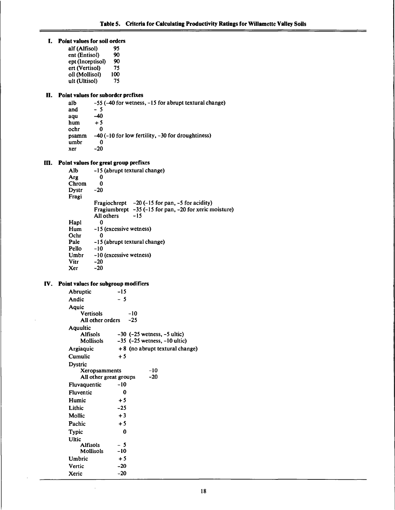| L. | Point values for soil orders                                      |  |
|----|-------------------------------------------------------------------|--|
|    | alf (Alfisol)<br>95                                               |  |
|    | 90<br>ent (Entisol)                                               |  |
|    | ept (Inceptisol)<br>90                                            |  |
|    | ert (Vertisol)<br>75                                              |  |
|    | oll (Mollisol)<br>100                                             |  |
|    | ult (Ultisol)<br>75                                               |  |
|    | II. Point values for suborder prefixes                            |  |
|    | -55 (-40 for wetness, -15 for abrupt textural change)<br>alb      |  |
|    | - 5<br>and                                                        |  |
|    | -40<br>aqu                                                        |  |
|    | hum<br>$+5$<br>ochr<br>0                                          |  |
|    | -40 (-10 for low fertility, -30 for droughtiness)<br>psamm        |  |
|    | umbr<br>0                                                         |  |
|    | $-20$<br>хег                                                      |  |
|    |                                                                   |  |
|    | III. Point values for great group prefixes                        |  |
|    | Alb.<br>-15 (abrupt textural change)                              |  |
|    | Arg<br>0                                                          |  |
|    | Chrom<br>0<br>$-20$<br>Dystr                                      |  |
|    | Fragi                                                             |  |
|    | Fragiochrept $-20$ (-15 for pan, -5 for acidity)                  |  |
|    | Fragiumbrept $-35$ (-15 for pan, -20 for xeric moisture)          |  |
|    | All others<br>$-15$                                               |  |
|    | Hapl<br>0                                                         |  |
|    | -15 (excessive wetness)<br>Hum                                    |  |
|    | Ochr<br>0                                                         |  |
|    | Pale<br>-15 (abrupt textural change)<br>Pello<br>-10              |  |
|    | -10 (excessive wetness)<br>Umbr                                   |  |
|    | Vitr<br>$-20$                                                     |  |
|    | $-20$<br>Xer .                                                    |  |
|    |                                                                   |  |
|    | IV. Point values for subgroup modifiers                           |  |
|    | Abruptic<br>$-15$                                                 |  |
|    | $-5$<br>Andic                                                     |  |
|    | Aquic                                                             |  |
|    | <b>Vertisols</b><br>-10<br>$-25$                                  |  |
|    | All other orders                                                  |  |
|    | Aquultic<br><b>Alfisols</b><br>$-30$ ( $-25$ wetness, $-5$ ultic) |  |
|    | Mollisols<br>$-35$ ( $-25$ wetness, $-10$ ultic)                  |  |
|    | +8 (no abrupt textural change)<br>Argiaquic                       |  |
|    | Cumulic<br>$+5$                                                   |  |
|    | Dystric                                                           |  |
|    | $-10$<br>Xeropsamments                                            |  |
|    | $-20$<br>All other great groups                                   |  |
|    | $-10$<br>Fluvaquentic                                             |  |
|    | Fluventic<br>0                                                    |  |
|    | Humic<br>$+5$                                                     |  |
|    | Lithic<br>$-25$                                                   |  |
|    | $+3$<br>Mollic                                                    |  |
|    | $+5$<br>Pachic                                                    |  |
|    | 0                                                                 |  |
|    | <b>Typic</b>                                                      |  |

Ultic

Alfisols - 5 Mollisols -10 Umbric + 5 Vertic -20 Xeric -20

 $\bar{\gamma}$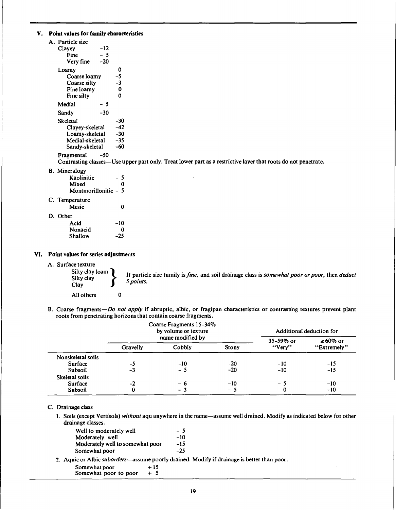#### **V. Point values for family characteristics**

| A. Particle size<br>Clayey<br>Fine<br>Very fine                                    | -12<br>- 5<br>-20 |                                 |
|------------------------------------------------------------------------------------|-------------------|---------------------------------|
| Loamy<br>Coarse loamy<br>Coarse silty<br>Fine loamy<br>Fine silty                  |                   | 0<br>-5<br>-3<br>0<br>0         |
| Medial                                                                             | - 5               |                                 |
| Sandy                                                                              | -30               |                                 |
| Skeletal<br>Clayey-skeletal<br>Loamy-skeletal<br>Medial-skeletal<br>Sandv-skeletal |                   | -30<br>-42<br>-30<br>-35<br>-60 |
| Fragmental                                                                         | -50               |                                 |

Contrasting classes—Use upper part only. Treat lower part as a restrictive layer that roots do not penetrate.

B. Mineralogy

| Kaolinitic           | - 5 |
|----------------------|-----|
| Mixed                | Λ   |
| Montmorillonitic - 5 |     |

#### C. Temperature

| Mesic | 0 |
|-------|---|
|       |   |

D. Other

| Acid    | -10   |
|---------|-------|
| Nonacid | Ω     |
| Shallow | $-25$ |

#### **VI. Point values for series adjustments**

A. Surface texture

Clay

Silty clay  $\left\{\begin{array}{c}\text{y loan} \\ \text{y} \end{array}\right\}$ > ^ particle size family *isfine,* and soil drainage class is *somewhat poor or poor,* then *deduct 5p0intS*

All others 0

B. Coarse fragments—*Do not apply* if abruptic, albic, or fragipan characteristics or contrasting textures prevent plant roots from penetrating horizons that contain coarse fragments.

|                   | Coarse Fragments 15-34%<br>by volume or texture |        |       | Additional deduction for |                |
|-------------------|-------------------------------------------------|--------|-------|--------------------------|----------------|
|                   | name modified by                                |        |       | 35-59% or                | $\geq 60\%$ or |
|                   | Gravelly                                        | Cobbly | Stony | "Very"                   | "Extremely"    |
| Nonskeletal soils |                                                 |        |       |                          |                |
| Surface           | -5                                              | $-10$  | -20   | $-10$                    | $-15$          |
| Subsoil           | -3                                              | $-5$   | $-20$ | $-10$                    | $-15$          |
| Skeletal soils    |                                                 |        |       |                          |                |
| Surface           | $-2$                                            | - 6    | $-10$ | - 5                      | -10            |
| Subsoil           | 0                                               | - 3    | $-5$  | 0                        | $-10$          |

#### C. Drainage class

1. Soils (except Vertisols) *without* aqu anywhere in the name—assume well drained. Modify as indicated below for other drainage classes.

| Well to moderately well          | - 5   |
|----------------------------------|-------|
| Moderately well                  | -10   |
| Moderately well to somewhat poor | -15   |
| Somewhat poor                    | $-25$ |
|                                  |       |

2. Aquic or Albic *suborders*—assume poorly drained. Modify if drainage is better than poor.

Somewhat poor  $+15$ <br>Somewhat poor to poor  $+5$ Somewhat poor to poor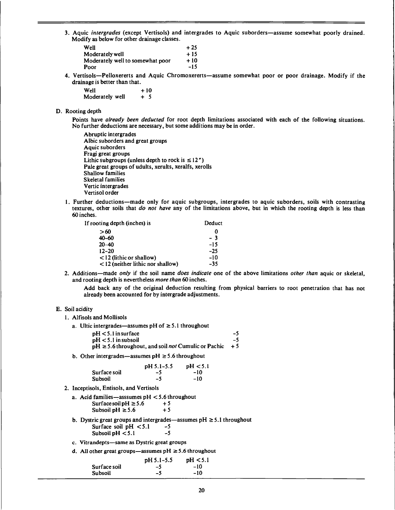3. Aquic *intergrades* (except Vertisols) and intergrades to Aquic suborders—assume somewhat poorly drained. Modify as below for other drainage classes.

| Well                             | $+25$ |
|----------------------------------|-------|
| Moderately well                  | $+15$ |
| Moderately well to somewhat poor | $+10$ |
| Poor                             | $-15$ |

4. Vertisols—Pelloxererts and Aquic Chromoxererts—assume somewhat poor or poor drainage. Modify if the drainage is better than that.

 $\text{Well} \quad +10$ Moderately well  $+ 5$ 

#### D. Rooting depth

Points have *already been deducted* for root depth limitations associated with each of the following situations. No further deductions are necessary, but some additions may be in order.

- Abruptic intergrades Albic suborders and great groups Aquic suborders Fragi great groups Lithic subgroups (unless depth to rock is  $\leq 12''$ ) Pale great groups of udults, xerults, xeralfs, xerolls Shallow families Skeletal families Vertic intergrades Vertisol order
- 1. Further deductions—made only for aquic subgroups, intergrades to aquic suborders, soils with contrasting textures, other soils that *do not have* any of the limitations above, but in which the rooting depth is less than 60 inches.

| If rooting depth (inches) is | Deduct |
|------------------------------|--------|
|------------------------------|--------|

| >60                                 |       |
|-------------------------------------|-------|
| $40 - 60$                           | - 3   |
| $20 - 40$                           | $-15$ |
| $12 - 20$                           | $-25$ |
| $<$ 12 (lithic or shallow)          | $-10$ |
| $<$ 12 (neither lithic nor shallow) | -35   |
|                                     |       |

2. Additions—made *only* if the soil name *does indicate* one of the above limitations *other than* aquic or skeletal, and rooting depth is nevertheless *more than* 60 inches.

Add back any of the original deduction resulting from physical barriers to root penetration that has not already been accounted for by intergrade adjustments.

#### E. Soil acidity

- 1. Alfisols and Mollisols
	- a. Ultic intergrades—assumes pH of  $\geq 5.1$  throughout

| $pH < 5.1$ in surface                                          | -5   |
|----------------------------------------------------------------|------|
| $pH < 5.1$ in subsoil                                          | -5   |
| $pH \ge 5.6$ throughout, and soil <i>not</i> Cumulic or Pachic | $+5$ |

b. Other intergrades—assumes  $pH \ge 5.6$  throughout

|              | pH 5.1-5.5 | pH < 5.1 |
|--------------|------------|----------|
| Surface soil | -5         | -10      |
| Subsoil      | -5         | -10      |

2. Inceptisols, Entisols, and Vertisols

| a. Acid families—asssumes $pH < 5.6$ throughout |      |
|-------------------------------------------------|------|
| Surface soil pH $\geq$ 5.6                      | $+5$ |
| Subsoil pH $\geq$ 5.6                           | $+5$ |

- b. Dystric great groups and intergrades—assumes  $pH \ge 5.1$  throughout Surface soil  $pH < 5.1$  -5<br>Subsoil  $pH < 5.1$  -5 Subsoil  $pH < 5.1$
- c. Vitrandepts—same as Dystric great groups
- d. All other great groups—assumes  $pH \ge 5.6$  throughout

|                | pH 5.1-5.5 | pH < 5.1 |
|----------------|------------|----------|
| Surface soil   | -7         | $-10$    |
| <b>Subsoil</b> | -5         | -10      |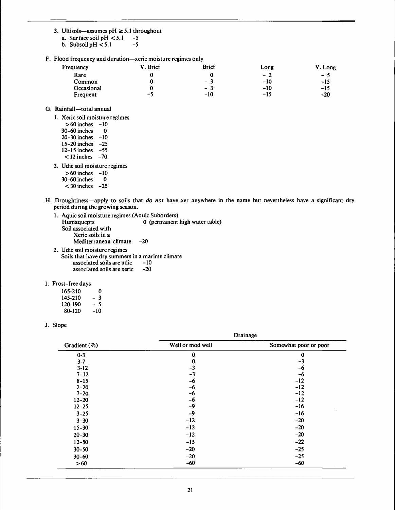- **3.** Ultisols—assumes  $pH \ge 5.1$  throughout<br>a. Surface soil  $pH < 5.1$  -5
	- **a.** Surface soil  $pH < 5.1$  -5<br>b. Subsoil  $pH < 5.1$  -5
	- **b.** Subsoil  $pH < 5.1$
- **F. Flood frequency and duration—xeric moisture regimes only**

| Frequency  | V. Brief | <b>Brief</b> | Long  | V. Long |
|------------|----------|--------------|-------|---------|
| Rare       |          |              | $-2$  | $-5$    |
| Common     |          | - 3          | $-10$ | $-15$   |
| Occasional |          | $-3$         | $-10$ | -15     |
| Frequent   | --       | $-10$        | -15   | $-20$   |

- **G. Rainfall—total annual**
	- **1. Xeric soil moisture regimes**

| $>60$ inches     | -10   |
|------------------|-------|
| 30-60 inches     | Ω     |
| $20 - 30$ inches | -10   |
| $15-20$ inches   | -25   |
| $12-15$ inches   | -55   |
| $<$ 12 inches    | $-70$ |

- **2. Udic soil moisture regimes**
	- **>60 inches -10**
	- **30-60 inches 0**
	- **< 30 inches -25**
- H. Droughtiness—apply to soils that do not have xer anywhere in the name but nevertheless have a significant dry **period during the growing season.**
	- **1. Aquic soil moisture regimes (Aquic Suborders) Humaquepts 0 (permanent high water table) Soil associated with Xeric soils in a Mediterranean climate -20**
	- **2. Udic soil moisture regimes Soils that have dry summers in a marime climate associated soils are udic -10 associated soils are xeric -20**
- **I. Frost-free days**

| 165-210 | 0   |
|---------|-----|
| 145-210 | - 3 |
| 120-190 | - 5 |
| 80-120  | -10 |

**J. Slope**

|              | Drainage         |                       |  |  |
|--------------|------------------|-----------------------|--|--|
| Gradient (%) | Well or mod well | Somewhat poor or poor |  |  |
| $0 - 3$      | 0                | 0                     |  |  |
| $3 - 7$      | 0                | $-3$                  |  |  |
| $3-12$       | $-3$             | -6                    |  |  |
| $7 - 12$     | $-3$             | -6                    |  |  |
| $8 - 15$     | $-6$             | $-12$                 |  |  |
| $2 - 20$     | -6               | $-12$                 |  |  |
| $7 - 20$     | -6               | $-12$                 |  |  |
| $12 - 20$    | -6               | $-12$                 |  |  |
| $12 - 25$    | $-9$             | $-16$                 |  |  |
| $3 - 25$     | $-9$             | $-16$                 |  |  |
| $3 - 30$     | $-12$            | $-20$                 |  |  |
| $15 - 30$    | $-12$            | $-20$                 |  |  |
| $20 - 30$    | $-12$            | $-20$                 |  |  |
| $12 - 50$    | $-15$            | $-22$                 |  |  |
| $30 - 50$    | $-20$            | $-25$                 |  |  |
| $30 - 60$    | $-20$            | $-25$                 |  |  |
| >60          | $-60$            | $-60$                 |  |  |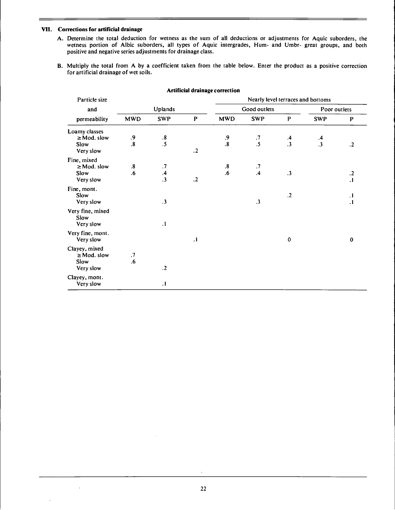#### **VII. Corrections for artificial drainage**

- A. Determine the total deduction for wetness as the sum of all deductions or adjustments for Aquic suborders, the wetness portion of Albic suborders, all types of Aquic intergrades, Hum- and Umbr- great groups, and both positive and negative series adjustments for drainage class.
- B. Multiply the total from A by a coefficient taken from the table below. Enter the product as a positive correction for artificial drainage of wet soils.

| Particle size                                          |                  |                              |              |                             |                        |                 | Nearly level terraces and bottoms |                    |
|--------------------------------------------------------|------------------|------------------------------|--------------|-----------------------------|------------------------|-----------------|-----------------------------------|--------------------|
| and                                                    | Uplands          |                              | Good outlets |                             |                        | Poor outlets    |                                   |                    |
| permeability                                           | <b>MWD</b>       | <b>SWP</b>                   | $\, {\bf p}$ | MWD                         | <b>SWP</b>             | $\mathbf{P}$    | <b>SWP</b>                        | $\mathbf{P}$       |
| Loamy classes<br>$\geq$ Mod. slow<br>Slow<br>Very slow | $\frac{.9}{.8}$  | $\frac{.8}{.5}$              | $\cdot$ 2    | $\frac{.9}{.8}$             | $\frac{.7}{.5}$        | $\frac{.4}{.3}$ | $\frac{.4}{.3}$                   | $\cdot$            |
| Fine, mixed<br>$\geq$ Mod. slow<br>Slow<br>Very slow   | ${\bf .8}$<br>.6 | $\cdot^7$<br>$\frac{.4}{.3}$ | $\cdot$ .2   | ${\bf .8}$<br>$\mathbf{.6}$ | $\cdot$ 7<br>$\cdot$ 4 | $\cdot$ 3       |                                   | $\cdot$<br>$\cdot$ |
| Fine, mont.<br>Slow<br>Very slow                       |                  | $\cdot$ 3                    |              |                             | $\cdot$ 3              | $\cdot$ .2      |                                   | $\cdot$<br>$\cdot$ |
| Very fine, mixed<br>Slow<br>Very slow                  |                  | $\cdot$                      |              |                             |                        |                 |                                   |                    |
| Very fine, mont.<br>Very slow                          |                  |                              | $\cdot$      |                             |                        | $\bf{0}$        |                                   | $\mathbf 0$        |
| Clayey, mixed<br>$\geq$ Mod. slow<br>Slow<br>Very slow | $\cdot$<br>.6    | $\cdot$                      |              |                             |                        |                 |                                   |                    |
| Clayey, mont.<br>Very slow                             |                  | $\cdot$                      |              |                             |                        |                 |                                   |                    |

#### **Artificial drainage correction**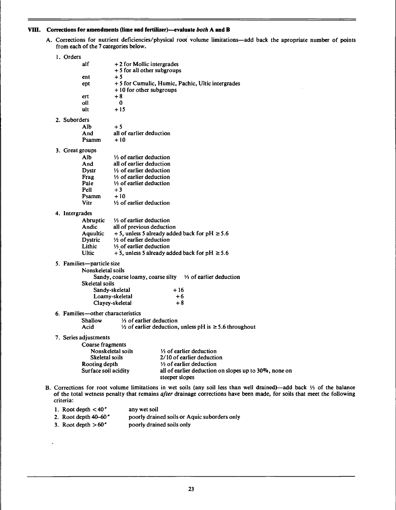#### **VIII.** Corrections **for** amendments flime **and fertilizer)—evaluate** *both* A **and** B

A. Corrections for nutrient deficiencies/physical root volume limitations—add back the apropriate number of points from each of the 7 categories below.

| 1. Orders                         |                                                                                |
|-----------------------------------|--------------------------------------------------------------------------------|
| alf                               | +2 for Mollic intergrades                                                      |
|                                   | + 5 for all other subgroups                                                    |
| ent                               | $+5$                                                                           |
| ept                               | + 5 for Cumulic, Humic, Pachic, Ultic intergrades<br>+10 for other subgroups   |
| ert                               | $+8$                                                                           |
| oll                               | 0                                                                              |
| ult                               | +15                                                                            |
| 2. Suborders                      |                                                                                |
| Alb.                              | $+5$                                                                           |
| And                               | all of earlier deduction                                                       |
| Psamm                             | $+10$                                                                          |
| 3. Great groups                   |                                                                                |
| Alb                               | $\frac{1}{3}$ of earlier deduction                                             |
| And                               | all of earlier deduction                                                       |
| <b>Dystr</b>                      | $\frac{1}{2}$ of earlier deduction                                             |
| Frag                              | 1/ <sub>3</sub> of earlier deduction                                           |
| Pale                              | 1/ <sub>3</sub> of earlier deduction                                           |
| Pell                              | $+3$                                                                           |
| Psamm<br><b>Vitr</b>              | $+10$<br>1/2 of earlier deduction                                              |
|                                   |                                                                                |
| 4. Intergrades                    |                                                                                |
| Abruptic                          | $\frac{1}{3}$ of earlier deduction                                             |
| Andic<br><b>Aquultic</b>          | all of previous deduction<br>+ 5, unless 5 already added back for pH $\ge$ 5.6 |
| Dystric                           | $\frac{1}{2}$ of earlier deduction                                             |
| Lithic                            | 1/ <sub>3</sub> of earlier deduction                                           |
| <b>Ultic</b>                      | + 5, unless 5 already added back for pH $\ge$ 5.6                              |
| 5. Families—particle size         |                                                                                |
| Nonskeletal soils                 |                                                                                |
|                                   | Sandy, coarse loamy, coarse silty 1/3 of earlier deduction                     |
| <b>Skeletal soils</b>             |                                                                                |
|                                   | Sandy-skeletal<br>+ 16                                                         |
|                                   | Loamy-skeletal<br>$+6$                                                         |
|                                   | $+8$<br>Clayey-skeletal                                                        |
| 6. Families—other characteristics |                                                                                |
| Shallow                           | $\frac{1}{3}$ of earlier deduction                                             |
| Acid                              | 1⁄2 of earlier deduction, unless pH is ≥5.6 throughout                         |
| 7. Series adjustments             |                                                                                |
| Coarse fragments                  |                                                                                |
|                                   | 1/ <sub>3</sub> of earlier deduction<br>Nonskeletal soils                      |
| Skeletal soils                    | 2/10 of earlier deduction                                                      |
| Rooting depth                     | $\frac{1}{3}$ of earlier deduction                                             |
| Surface soil acidity              | all of earlier deduction on slopes up to 30%, none on                          |
|                                   | steeper slopes                                                                 |

Corrections for root volume limitations in wet soils (any soil less than well drained)—add back *'A* of the balance of the total wetness penalty that remains *after* drainage corrections have been made, for soils that meet the following criteria:

| 1. Root depth $< 40''$  | any wet soil                                 |
|-------------------------|----------------------------------------------|
| 2. Root depth $40-60''$ | poorly drained soils or Aquic suborders only |
| 3. Root depth $>60''$   | poorly drained soils only                    |

 $\lambda$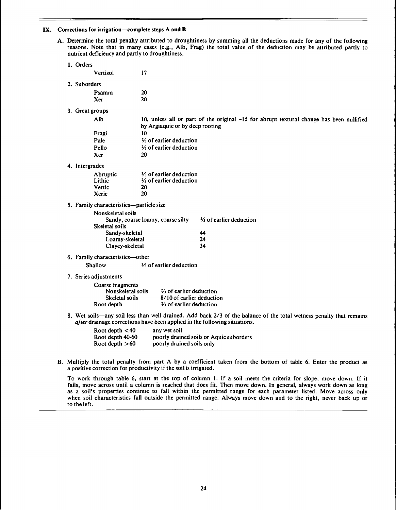#### IX. Corrections for irrigation—complete steps A and B

A. Determine the total penalty attributed to droughtiness by summing all the deductions made for any of the following reasons. Note that in many cases (e.g., Alb, Frag) the total value of the deduction may be attributed partly to nutrient deficiency and partly to droughtiness.

| 1. Orders             |                                         |                                      |                                                                                                                                                                                                 |
|-----------------------|-----------------------------------------|--------------------------------------|-------------------------------------------------------------------------------------------------------------------------------------------------------------------------------------------------|
| Vertisol              | 17                                      |                                      |                                                                                                                                                                                                 |
| 2. Suborders          |                                         |                                      |                                                                                                                                                                                                 |
| Psamm                 | 20                                      |                                      |                                                                                                                                                                                                 |
| Xer                   | 20                                      |                                      |                                                                                                                                                                                                 |
|                       |                                         |                                      |                                                                                                                                                                                                 |
| 3. Great groups       |                                         |                                      |                                                                                                                                                                                                 |
| Alb                   |                                         | by Argiaquic or by deep rooting      | 10, unless all or part of the original -15 for abrupt textural change has been nullified                                                                                                        |
| Fragi                 | 10                                      |                                      |                                                                                                                                                                                                 |
| Pale                  |                                         | 34 of earlier deduction              |                                                                                                                                                                                                 |
| Pello                 |                                         | 3/3 of earlier deduction             |                                                                                                                                                                                                 |
| Xer                   | 20                                      |                                      |                                                                                                                                                                                                 |
| 4. Intergrades        |                                         |                                      |                                                                                                                                                                                                 |
| Abruptic              |                                         | 3/ <sub>3</sub> of earlier deduction |                                                                                                                                                                                                 |
| Lithic                |                                         | 3/3 of earlier deduction             |                                                                                                                                                                                                 |
| Vertic                | 20                                      |                                      |                                                                                                                                                                                                 |
| Xeric                 | 20                                      |                                      |                                                                                                                                                                                                 |
|                       | 5. Family characteristics-particle size |                                      |                                                                                                                                                                                                 |
|                       | Nonskeletal soils                       |                                      |                                                                                                                                                                                                 |
|                       |                                         | Sandy, coarse loamy, coarse silty    | 3/3 of earlier deduction                                                                                                                                                                        |
|                       | Skeletal soils                          |                                      |                                                                                                                                                                                                 |
|                       | Sandy-skeletal                          |                                      | 44                                                                                                                                                                                              |
|                       | Loamy-skeletal                          |                                      | 24<br>34                                                                                                                                                                                        |
|                       | Clayey-skeletal                         |                                      |                                                                                                                                                                                                 |
|                       | 6. Family characteristics-other         |                                      |                                                                                                                                                                                                 |
| Shallow               |                                         | 3⁄3 of earlier deduction             |                                                                                                                                                                                                 |
| 7. Series adjustments |                                         |                                      |                                                                                                                                                                                                 |
|                       | Coarse fragments                        |                                      |                                                                                                                                                                                                 |
|                       | Nonskeletal soils                       | 3/ <sub>3</sub> of earlier deduction |                                                                                                                                                                                                 |
|                       | Skeletal soils                          | 8/10 of earlier deduction            |                                                                                                                                                                                                 |
|                       | Root depth                              | 3/3 of earlier deduction             |                                                                                                                                                                                                 |
|                       |                                         |                                      | 8. Wet soils—any soil less than well drained. Add back 2/3 of the balance of the total wetness penalty that remains<br>ofter drainage corrections have been applied in the following situations |

wetness penalty that remains *after* drainage corrections have been applied in the following situations.

| Root depth $<$ 40 | any wet soil                            |
|-------------------|-----------------------------------------|
| Root depth 40-60  | poorly drained soils or Aquic suborders |
| Root depth $>60$  | poorly drained soils only               |

B. Multiply the total penalty from part A by a coefficient taken from the bottom of table 6. Enter the product as a positive correction for productivity if the soil is irrigated.

To work through table 6, start at the top of column 1. If a soil meets the criteria for slope, move down. If it fails, move across until a column is reached that does fit. Then move down. In general, always work down as long as a soil's properties continue to fall within the permitted range for each parameter listed. Move across only when soil characteristics fall outside the permitted range. Always move down and to the right, never back up or to the left.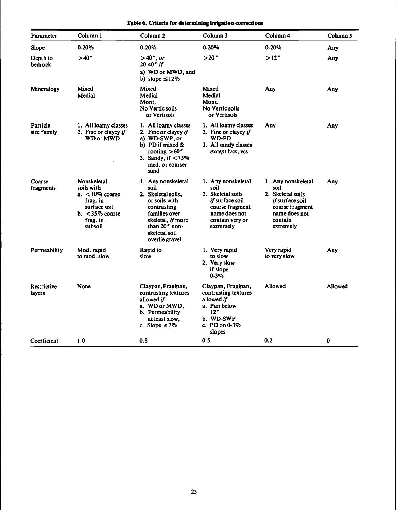| Table 6. Criteria for determlning irrigation corrections |  |  |  |
|----------------------------------------------------------|--|--|--|
|----------------------------------------------------------|--|--|--|

| Parameter               | Column 1                                                                                                                 | Column <sub>2</sub>                                                                                                                                                        | Column <sub>3</sub>                                                                                                                           | Column 4                                                                                                                       | Column 5 |
|-------------------------|--------------------------------------------------------------------------------------------------------------------------|----------------------------------------------------------------------------------------------------------------------------------------------------------------------------|-----------------------------------------------------------------------------------------------------------------------------------------------|--------------------------------------------------------------------------------------------------------------------------------|----------|
| Slope                   | $0 - 20%$                                                                                                                | $0 - 20%$                                                                                                                                                                  | $0 - 20%$                                                                                                                                     | $0 - 20%$                                                                                                                      | Any      |
| Depth to<br>bedrock     | >40''                                                                                                                    | >40", or<br>$20-40"$ if<br>a) WD or MWD, and<br>b) slope $\leq$ 12%                                                                                                        | >20"                                                                                                                                          | >12''                                                                                                                          | Any      |
| Mineralogy              | Mixed<br>Medial                                                                                                          | Mixed<br>Medial<br>Mont.<br>No Vertic soils<br>or Vertisols                                                                                                                | Mixed<br>Medial<br>Mont.<br>No Vertic soils<br>or Vertisols                                                                                   | Any                                                                                                                            | Any      |
| Particle<br>size family | 1. All loamy classes<br>2. Fine or clayey if<br><b>WD or MWD</b>                                                         | 1. All loamy classes<br>2. Fine or clayey if<br>a) WD-SWP, or<br>b) PD if mixed $\&$<br>rooting $>60"$<br>3. Sandy, if <75%<br>med. or coarser<br>sand                     | 1. All loamy classes<br>2. Fine or clayey if<br>WD-PD<br>3. All sandy classes<br>except lvcs, vcs                                             | Any                                                                                                                            | Any      |
| Coarse<br>fragments     | Nonskeletal<br>soils with<br>$a. < 10\%$ coarse<br>frag. in<br>surface soil<br>$b. < 35\%$ coarse<br>frag. in<br>subsoil | 1. Any nonskeletal<br>soil<br>2. Skeletal soils,<br>or soils with<br>contrasting<br>families over<br>skeletal, if more<br>than 20" non-<br>skeletal soil<br>overlie gravel | 1. Any nonskeletal<br>soil<br>2. Skeletal soils<br><i>if</i> surface soil<br>coarse fragment<br>name does not<br>contain very or<br>extremely | 1. Any nonskeletal<br>soil<br>2. Skeletal soils<br>if surface soil<br>coarse fragment<br>name does not<br>contain<br>extremely | Any      |
| Permeability            | Mod. rapid<br>to mod. slow                                                                                               | Rapid to<br>slow                                                                                                                                                           | 1. Very rapid<br>to slow<br>2. Very slow<br>if slope<br>$0 - 3\%$                                                                             | Very rapid<br>to very slow                                                                                                     | Any      |
| Restrictive<br>layers   | None                                                                                                                     | Claypan, Fragipan,<br>contrasting textures<br>allowed if<br>a. WD or MWD,<br>b. Permeability<br>at least slow.<br>c. Slope $\leq 7\%$                                      | Claypan, Fragipan,<br>contrasting textures<br>allowed if<br>a. Pan below<br>12"<br>b. WD-SWP<br>c. $PD$ on $0-3\%$<br>slopes                  | Allowed                                                                                                                        | Allowed  |
| Coefficient             | 1.0                                                                                                                      | 0.8                                                                                                                                                                        | 0.5                                                                                                                                           | 0.2                                                                                                                            | 0        |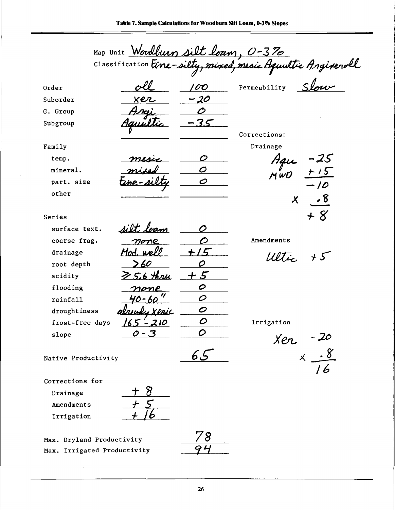|                     | Map Unit Woodburn silt loam, 0-3% |                            |                                                                             |
|---------------------|-----------------------------------|----------------------------|-----------------------------------------------------------------------------|
|                     |                                   |                            |                                                                             |
| Order               |                                   | 'OO                        | Classification Eine-silty, mixed, mesic Aquultic Angiverall<br>Permeability |
| Suborder            | xer                               | 20                         |                                                                             |
| G. Group            |                                   |                            |                                                                             |
| Subgroup            |                                   |                            |                                                                             |
|                     |                                   |                            | Corrections:                                                                |
| Family              |                                   |                            | Drainage                                                                    |
| temp.               |                                   | O                          |                                                                             |
| mineral.            |                                   | 0                          | $-25$<br>+15                                                                |
| part. size          |                                   | O                          | $-10$                                                                       |
| other               |                                   |                            |                                                                             |
|                     |                                   |                            | $\sqrt{8}$<br>$\boldsymbol{X}$                                              |
| Series              |                                   |                            | + 8                                                                         |
| surface text.       | silt leam                         |                            |                                                                             |
| coarse frag.        | mome                              |                            | Amendments                                                                  |
| drainage            | Mod. well                         | 15                         | $+5$<br>WItie                                                               |
| root depth          | >60                               | 0                          |                                                                             |
| acidity             | 6 Hri                             | $\mathcal{F}$              |                                                                             |
| flooding            | one                               | 0                          |                                                                             |
| rainfall            |                                   | O                          |                                                                             |
| droughtiness        | uadı xeric                        | $\boldsymbol{\mathcal{O}}$ |                                                                             |
| frost-free days     | 165-210                           | Ο                          | Irrigation                                                                  |
| slope               | $0 - 3$                           | O                          |                                                                             |
|                     |                                   |                            | $Xer -20$<br>$X - 8$                                                        |
| Native Productivity |                                   | 65                         |                                                                             |
|                     |                                   |                            | 16                                                                          |
| Corrections for     |                                   |                            |                                                                             |
| Drainage            |                                   |                            |                                                                             |
| Amendments          |                                   |                            |                                                                             |
| Irrigation          |                                   |                            |                                                                             |
|                     |                                   | 70                         |                                                                             |

Max. Dryland Productivity Max. Irrigated Productivity

 $\hat{\boldsymbol{\beta}}$ 

 $\ddot{\phantom{a}}$ 

$$
\frac{78}{-94}
$$

**26**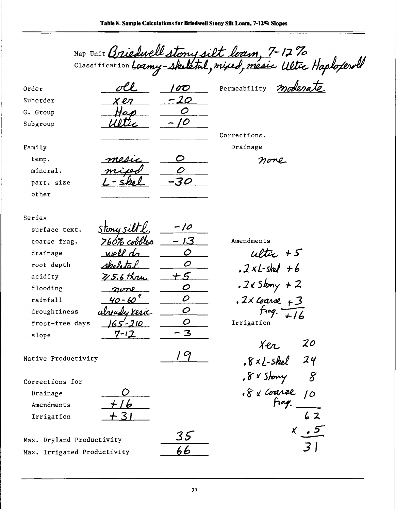|                             |              |              | Map Unit Briedwell story silt loam, 7-1270 |
|-----------------------------|--------------|--------------|--------------------------------------------|
|                             |              |              |                                            |
| Order                       |              | OO           | Permeability                               |
| Suborder                    | r en         | -20          |                                            |
| G. Group                    |              |              |                                            |
| Subgroup                    |              |              |                                            |
|                             |              |              | Corrections.                               |
| Family                      |              |              | Drainage                                   |
| temp.                       |              |              | none                                       |
| mineral.                    |              |              |                                            |
| part. size                  |              | $\mathcal O$ |                                            |
| other                       |              |              |                                            |
|                             |              |              |                                            |
| Series                      |              |              |                                            |
| surface text.               | Stony si     | 10           |                                            |
| coarse frag.                | 760% cobbles | 13           | Amendments                                 |
| drainage                    |              | O            | $ulte$ +5                                  |
| root depth                  |              | 0            | $.2xL$ -skel +6                            |
| acidity                     | $75.6$ thrue | - 5          |                                            |
| flooding                    |              | 0            | $.2$ < Stony + 2                           |
| rainfall                    |              | D            | $.2\times$ Coarse $+3$                     |
| droughtiness                | ready xeric  | 0            |                                            |
| frost-free days             | $65 - 210$   | O            | Irrigation                                 |
| slope                       | $7 - 12$     | $\mathbf{3}$ |                                            |
|                             |              |              | 20<br>ter                                  |
| Native Productivity         |              | 9            | $8xL$ -skel 24                             |
|                             |              |              |                                            |
| Corrections for             |              |              | . 8 x Story<br>8                           |
| Drainage                    |              |              | $-8 \times$ Coarse 10                      |
| Amendments                  |              |              |                                            |
| Irrigation                  |              |              | 62                                         |
|                             |              |              | x, 5                                       |
| Max. Dryland Productivity   |              | 35           |                                            |
| Max. Irrigated Productivity |              | 66           | $\overline{3}$                             |
|                             |              |              |                                            |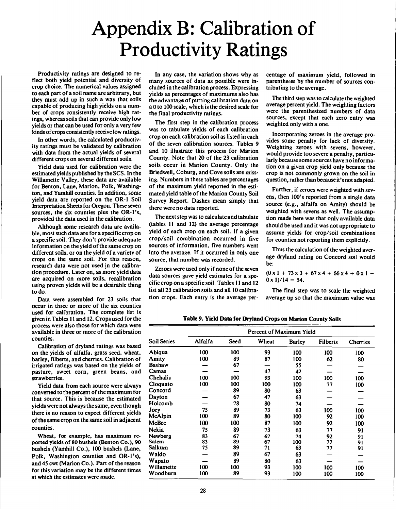### Appendix B: Calibration of Productivity Ratings

Productivity ratings are designed to reflect both yield potential and diversity of crop choice. The numerical values assigned to each part of a soil name are arbitrary, but they must add up in such a way that soils capable of producing high yields on a number of crops consistently receive high ratings, whereas soils that can provide only low yields or that can be used for only a very few kinds of crops consistently receive low ratings.

In other words, the calculated productivity ratings must be validated by calibration with data from the actual yields of several different crops on several different soils.

Yield data used for calibration were the estimated yields published by the SCS. In the Willamette Valley, these data are available for Benton, Lane, Marion, Polk, Washington, and Yamhill counties. In addition, some yield data are reported on the OR-1 Soil Interpretation Sheets for Oregon. These seven sources, the six counties plus the OR-l's, provided the data used in the calibration.

Although some research data are available, most such data are for a specific crop on a specific soil. They don't provide adequate information on the yield of the same crop on different soils, or on the yield of a variety of crops on the same soil. For this reason, research data were not used in the calibration procedure. Later on, as more yield data are acquired on more soils, recalibration using proven yields will be a desirable thing to do.

Data were assembled for 23 soils that occur in three or more of the six counties used for calibration. The complete list is given in Tables 11 and 12. Crops used for the process were also those for which data were available in three or more of the calibration counties.

Calibration of dryland ratings was based on the yields of alfalfa, grass seed, wheat, barley, filberts, and cherries. Calibration of irrigated ratings was based on the yields of pasture, sweet corn, green beans, and strawberries.

Yield data from each source were always converted to the percent of the maximum for that source. This is because the estimated yields were not alwaysthe same, even though there is no reason to expect different yields of the same crop on the same soil in adjacent counties.

Wheat, for example, has maximum reported yields of 80 bushels (Benton Co.), 90 bushels (Yamhill Co.), 100 bushels (Lane, Polk, Washington counties and OR-l's), and 45 cwt (Marion Co.). Part of the reason for this variation may be the different times at which the estimates were made.

In any case, the variation shows why as many sources of data as possible were included in the calibration process. Expressing yields as percentages of maximums also has the advantage of putting calibration data on a 0 to 100 scale, which is the desired scale for the final productivity ratings.

The first step in the calibration process was to tabulate yields of each calibration crop on each calibration soil as listed in each of the seven calibration sources. Tables 9 and 10 illustrate this process for Marion County. Note that 20 of the 23 calibration soils occur in Marion County. Only the Briedwell, Coburg, and Cove soils are missing. Numbers in these tables are percentages of the maximum yield reported in the estimated yield table of the Marion County Soil Survey Report. Dashes mean simply that there were no data reported.

The next step was to calculate and tabulate (tables <sup>11</sup> and 12) the average percentage yield of each crop on each soil. If a given crop/soil combination occurred in five sources of information, five numbers went into the average. If it occurred in only one source, that number was recorded.

Zeroes were used only if none of the seven data sources gave yield estimates for a specific crop on a specific soil. Tables <sup>11</sup> and 12 list all 23 calibration soils and all 10 calibration crops. Each entry is the average percentage of maximum yield, followed in parentheses by the number of sources contributing to the average.

The third step was to calculate the weighted average percent yield. The weighting factors were the parenthesized numbers of data sources, except that each zero entry was weighted only with a one.

Incorporating zeroes in the average provides some penalty for lack of diversity. Weighting zeroes with sevens, however, would provide too severe a penalty, particularly because some sources have no information on a given crop yield only because the crop is not commonly grown on the soil in question, rather than because it's not adapted.

Further, if zeroes were weighted with sevens, then 100's reported from a single data source (e.g., alfalfa on Amity) should be weighted with sevens as well. The assumption made here was that only available data should be used and it was not appropriate to assume yields for crop/soil combinations for counties not reporting them explicitly.

Thus the calculation of the weighted average dryland rating on Concord soil would be:

 $(0x1 + 73x3 + 67x4 + 66x4 + 0x1 +$  $0 \times 1$ /14 = 54.

The final step was to scale the weighted average up so that the maximum value was

**Table 9. Yield Data for Dryland Crops on Marion County Soils**

|              |         |      | Percent of Maximum Yield |               |                 |          |
|--------------|---------|------|--------------------------|---------------|-----------------|----------|
| Soil Series  | Alfalfa | Seed | Wheat                    | <b>Barley</b> | <b>Filberts</b> | Cherries |
| Abiqua       | 100     | 100  | 93                       | 100           | 100             | 100      |
| Amity        | 100     | 89   | 87                       | 100           | 62              | 80       |
| Bashaw       |         | 67   |                          | 55            |                 |          |
| Camas        |         |      | 47                       | 42            |                 |          |
| Chehalis     | 100     | 100  | 93                       | 100           | 100             | 100      |
| Cloquato     | 100     | 100  | 100                      | 100           | 77              | 100      |
| Concord      |         | 89   | 80                       | 63            |                 |          |
| Dayton       |         | 67   | 47                       | 63            |                 |          |
| Holcomb      |         | 78   | 80                       | 74            |                 |          |
| Jory         | 75      | 89   | 73                       | 63            | 100             | 100      |
| McAlpin      | 100     | 89   | 80                       | 100           | 92              | 100      |
| McBee        | 100     | 100  | 87                       | 100           | 92              | 100      |
| <b>Nekia</b> | 75      | 89   | 73                       | 63            | 77              | 91       |
| Newberg      | 83      | 67   | 67                       | 74            | 92              | 91       |
| <b>Salem</b> | 83      | 89   | 67                       | 100           | 77              | 91       |
| Salkum       | 75      | 89   | 71                       | 63            | 77              | 91       |
| Waldo        |         | 89   | 67                       | 63            |                 |          |
| Wapato       |         | 89   | 80                       | 63            |                 |          |
| Willamette   | 100     | 100  | 93                       | 100           | 100             | 100      |
| Woodburn     | 100     | 89   | 93                       | 100           | 100             | 100      |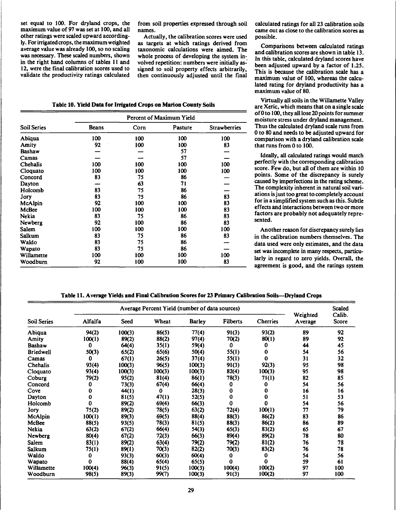set equal to 100. For dryland crops, the maximum value of 97 was set at 100, and all other ratings were scaled upward accordingly. For irrigated crops, the maximum weighted average value was already 100, so no scaling was necessary. These scaled numbers, shown in the right hand columns of tables <sup>11</sup> and 12, were the final calibration scores used to validate the productivity ratings calculated

from soil properties expressed through soil names.

Actually, the calibration scores were used as targets at which ratings derived from taxonomic calculations were aimed. The whole process of developing the system involved repetition: numbers were initially assigned to soil property effects arbitrarily, then continuously adjusted until the final

**Table 10. Yield Data for Irrigated Crops on Marion County Soils**

|                    |              |      | Percent of Maximum Yield |                     |
|--------------------|--------------|------|--------------------------|---------------------|
| <b>Soil Series</b> | <b>Beans</b> | Corn | Pasture                  | <b>Strawberries</b> |
| Abiqua             | 100          | 100  | 100                      | 100                 |
| Amity              | 92           | 100  | 100                      | 83                  |
| Bashaw             |              |      | 57                       |                     |
| Camas              |              |      | 57                       |                     |
| Chehalis           | 100          | 100  | 100                      | 100                 |
| Cloquato           | 100          | 100  | 100                      | 100                 |
| Concord            | 83           | 75   | 86                       |                     |
| Dayton             |              | 63   | 71                       |                     |
| Holcomb            | 83           | 75   | 86                       |                     |
| Jory               | 83           | 75   | 86                       | 83                  |
| McAlpin            | 92           | 100  | 100                      | 83                  |
| McBee              | 100          | 100  | 100                      | 83                  |
| Nekia              | 83           | 75   | 86                       | 83                  |
| Newberg            | 92           | 100  | 86                       | 83                  |
| Salem              | 100          | 100  | 100                      | 100                 |
| <b>Salkum</b>      | 83           | 75   | 86                       | 83                  |
| Waldo              | 83           | 75   | 86                       |                     |
| Wapato             | 83           | 75   | 86                       |                     |
| Willamette         | 100          | 100  | 100                      | 100                 |
| Woodburn           | 92           | 100  | 100                      | 83                  |

calculated ratings for all 23 calibration soils came out as close to the calibration scores as possible.

Comparisons between calculated ratings and calibration scores are shown in table 13. In this table, calculated dryland scores have been adjusted upward by a factor of 1.25. This is because the calibration scale has a maximum value of 100, whereas the calculated rating for dryland productivity has a maximum value of 80.

Virtually all soils in the Willamette Valley are Xeric, which means that on a single scale of 0 to 100, they all lose 20 points for summer moisture stress under dryland management. Thus the calculated dryland scale runs from 0 to 80 and needs to be adjusted upward for comparison with a dryland calibration scale that runs from 0 to 100.

Ideally, all calculated ratings would match perfectly with the corresponding calibration score. Few do, but all of them are within 10 points. Some of the discrepancy is surely caused by imperfections in the rating scheme. The complexity inherent in natural soil variations is just too great to completely account for in a simplified system such as this. Subtle effects and interactions between two or more factors are probably not adequately represented.

Another reason for discrepancy surely lies in the calibration numbers themselves. The data used were only estimates, and the data set was incomplete in many respects, particularly in regard to zero yields. Overall, the agreement is good, and the ratings system

|  |  |  |  | Table 11. Average Yields and Final Calibration Scores for 23 Primary Calibration Soils—Dryland Crops |  |
|--|--|--|--|------------------------------------------------------------------------------------------------------|--|
|--|--|--|--|------------------------------------------------------------------------------------------------------|--|

|                    |         |        | Average Percent Yield (number of data sources) |               |                 |          |                     | <b>Scaled</b>   |
|--------------------|---------|--------|------------------------------------------------|---------------|-----------------|----------|---------------------|-----------------|
| <b>Soil Series</b> | Alfalfa | Seed   | Wheat                                          | <b>Barley</b> | <b>Filberts</b> | Cherries | Weighted<br>Average | Calib.<br>Score |
| Abiqua             | 94(2)   | 100(3) | 86(5)                                          | 77(4)         | 91(3)           | 93(2)    | 89                  | 92              |
| Amity              | 100(1)  | 89(2)  | 88(2)                                          | 97(4)         | 70(2)           | 80(1)    | 89                  | 92              |
| <b>Bashaw</b>      | 0       | 64(4)  | 35(1)                                          | 59(4)         | 0               | 0        | 44                  | 45              |
| <b>Briedwell</b>   | 50(3)   | 65(2)  | 65(6)                                          | 50(4)         | 55(1)           | 0        | 54                  | 56              |
| Camas              | 0       | 67(1)  | 26(5)                                          | 37(4)         | 55(1)           | 0        | 31                  | 32              |
| Chehalis           | 93(4)   | 100(3) | 96(5)                                          | 100(3)        | 91(3)           | 92(3)    | 95                  | 98              |
| Cloquato           | 93(4)   | 100(3) | 100(3)                                         | 100(3)        | 82(4)           | 100(3)   | 95                  | 98              |
| Coburg             | 79(2)   | 95(2)  | 81(4)                                          | 86(1)         | 78(3)           | 71(1)    | 82                  | 85              |
| Concord            | 0       | 73(3)  | 67(4)                                          | 66(4)         | 0               | 0        | 54                  | 56              |
| Cove               | 0       | 44(1)  | 0                                              | 28(3)         | 0               | 0        | 16                  | 16              |
| Dayton             | 0       | 81(5)  | 47(1)                                          | 52(5)         | 0               | 0        | 51                  | 53              |
| Holcomb            | 0       | 89(2)  | 69(4)                                          | 66(3)         | 0               | 0        | 54                  | 56              |
| Jory               | 75(2)   | 89(2)  | 78(5)                                          | 63(2)         | 72(4)           | 100(1)   | 77                  | 79              |
| McAlpin            | 100(1)  | 89(3)  | 69(5)                                          | 88(4)         | 88(3)           | 86(2)    | 83                  | 86              |
| McBee              | 88(5)   | 93(5)  | 78(3)                                          | 81(5)         | 88(3)           | 86(2)    | 86                  | 89              |
| <b>Nekia</b>       | 63(2)   | 67(2)  | 66(4)                                          | 54(3)         | 65(3)           | 83(2)    | 65                  | 67              |
| Newberg            | 80(4)   | 67(2)  | 72(3)                                          | 66(3)         | 89(4)           | 89(2)    | 78                  | 80              |
| Salem              | 83(1)   | 89(2)  | 63(4)                                          | 79(2)         | 79(2)           | 81(2)    | 76                  | 78              |
| Salkum             | 75(1)   | 89(1)  | 70(3)                                          | 82(2)         | 70(3)           | 83(2)    | 76                  | 78              |
| Waldo              | 0       | 93(3)  | 60(3)                                          | 60(4)         | 0               | 0        | 54                  | 56              |
| Wapato             | 0       | 88(4)  | 65(4)                                          | 65(5)         | 0               | 0        | 59                  | 61              |
| Willamette         | 100(4)  | 96(3)  | 91(5)                                          | 100(3)        | 100(4)          | 100(2)   | 97                  | 100             |
| Woodburn           | 98(5)   | 89(3)  | 99(7)                                          | 100(3)        | 91(3)           | 100(2)   | 97                  | 100             |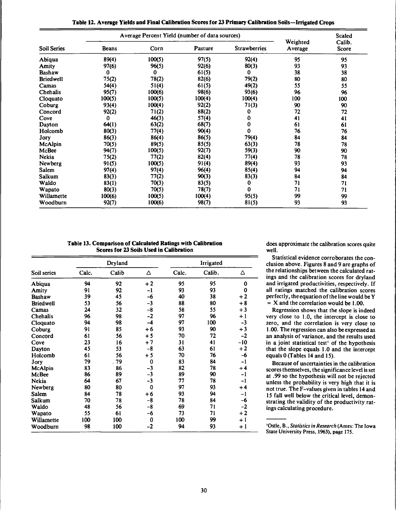|                    |              | Average Percent Yield (number of data sources) |         |                     |                     | <b>Scaled</b>   |
|--------------------|--------------|------------------------------------------------|---------|---------------------|---------------------|-----------------|
| <b>Soil Series</b> | <b>Beans</b> | Corn                                           | Pasture | <b>Strawberries</b> | Weighted<br>Average | Calib.<br>Score |
| Abiqua             | 89(4)        | 100(5)                                         | 97(5)   | 92(4)               | 95                  | 95              |
| Amity              | 97(6)        | 96(5)                                          | 92(6)   | 80(3)               | 93                  | 93              |
| <b>Bashaw</b>      | 0            | 0                                              | 61(5)   | 0                   | 38                  | 38              |
| <b>Briedwell</b>   | 75(2)        | 78(2)                                          | 82(6)   | 79(2)               | 80                  | 80              |
| Camas              | 54(4)        | 51(4)                                          | 61(5)   | 49(2)               | 55                  | 55              |
| Chehalis           | 95(7)        | 100(6)                                         | 98(6)   | 93(6)               | 96                  | 96              |
| Cloquato           | 100(5)       | 100(5)                                         | 100(4)  | 100(4)              | 100                 | 100             |
| Coburg             | 93(4)        | 100(4)                                         | 92(2)   | 71(3)               | 90                  | 90              |
| Concord            | 92(2)        | 71(2)                                          | 88(2)   | 0                   | 72                  | 72              |
| Cove               | 0            | 46(3)                                          | 57(4)   | 0                   | 41                  | 41              |
| Dayton             | <b>64(1)</b> | 63(2)                                          | 68(7)   | 0                   | 61                  | 61              |
| Holcomb            | 80(3)        | 77(4)                                          | 90(4)   | $\Omega$            | 76                  | 76              |
| Jory               | 86(3)        | 86(4)                                          | 86(5)   | 79(4)               | 84                  | 84              |
| McAlpin            | 70(5)        | 89(5)                                          | 85(5)   | 63(3)               | 78                  | 78              |
| McBee              | 94(7)        | 100(5)                                         | 92(7)   | 59(3)               | 90                  | 90              |
| <b>Nekia</b>       | 75(2)        | 77(2)                                          | 82(4)   | 77(4)               | 78                  | 78              |
| Newberg            | 91(5)        | 100(5)                                         | 91(4)   | 89(4)               | 93                  | 93              |
| Salem              | 97(4)        | 97(4)                                          | 96(4)   | 85(4)               | 94                  | 94              |
| Salkum             | 83(3)        | 77(2)                                          | 90(3)   | 83(3)               | 84                  | 84              |
| Waldo              | 83(1)        | 70(3)                                          | 83(5)   | 0                   | 71                  | 71              |
| Wapato             | 80(3)        | 70(5)                                          | 78(7)   | 0                   | 71                  | 71              |
| Willamette         | 100(6)       | $-100(5)$                                      | 100(4)  | 95(5)               | 99                  | 99              |
| Woodburn           | 92(7)        | 100(6)                                         | 98(7)   | 81(5)               | 93                  | 93              |

| Table 12. Average Yields and Final Calibration Scores for 23 Primary Calibration Soils-Irrigated Crops |  |
|--------------------------------------------------------------------------------------------------------|--|
|--------------------------------------------------------------------------------------------------------|--|

**Table 13. Comparison of Calculated Ratings with Calibration Scores for 23 Soils Used in Calibration**

|                  |       | Dryland |             |       | Irrigated |          |
|------------------|-------|---------|-------------|-------|-----------|----------|
| Soil series      | Calc. | Calib   | Δ           | Calc. | Calib.    | Δ        |
| Abiqua           | 94    | 92      | $+2$        | 95    | 95        | $\bf{0}$ |
| Amity            | 91    | 92      | $-1$        | 93    | 93        | 0        |
| <b>Bashaw</b>    | 39    | 45      | -6          | 40    | 38        | $+2$     |
| <b>Briedwell</b> | 53    | 56      | $-3$        | 88    | 80        | $+8$     |
| Camas            | 24    | 32      | $-8$        | 58    | 55        | $+3$     |
| Chehalis         | 96    | 98      | $-2$        | 97    | 96        | $+1$     |
| Cloquato         | 94    | 98      | $-4$        | 97    | 100       | $-3$     |
| Coburg           | 91    | 85      | $+6$        | 93    | 90        | $+3$     |
| Concord          | 61    | 56      | $+5$        | 70    | 72        | $-2$     |
| Cove             | 23    | 16      | $+7$        | 31    | 41        | $-10$    |
| Dayton           | 45    | 53      | -8          | 63    | 61        | $+2$     |
| Holcomb          | 61    | 56      | $+5$        | 70    | 76        | -6       |
| Jory             | 79    | . 79    | 0           | 83    | 84        | $-1$     |
| McAlpin          | 83    | 86      | $-3$        | 82    | 78        | $+4$     |
| McBee            | 86    | 89      | $-3$        | 89    | 90        | $-1$     |
| Nekia            | 64    | 67      | $-3$        | 77    | 78        | $-1$     |
| Newberg          | 80    | 80      | $\mathbf 0$ | 97    | 93        | $+4$     |
| Salem            | 84    | 78      | $+6$        | 93    | 94        | $-1$     |
| Salkum           | 70    | 78      | -8          | 78    | 84        | -6       |
| Waldo            | 48    | 56      | -8          | 69    | 71        | $-2$     |
| Wapato           | 55    | 61      | -6          | 73    | 71        | $+2$     |
| Willamette       | 100   | 100     | 0           | 100   | 99        | $+1$     |
| Woodburn         | 98    | 100     | $-2$        | 94    | 93        | $+1$     |

does approximate the calibration scores quite well.

Statistical evidence corroborates the conclusion above. Figures <sup>8</sup> and 9 are graphs of the relationships between the calculated ratings and the calibration scores for dryland and irrigated productivities, respectively. If all ratings matched the calibration scores perfectly, the equation of the line would be Y  $=$  X and the correlation would be 1.00.

Regression shows that the slope is indeed very close to 1.0, the intercept is close to zero, and the correlation is very close to 1.00. The regression can also be expressed as an analysis of variance, and the results used in a joint statistical test' of the hypothesis that the slope equals 1.0 and the intercept equals 0 (Tables 14 and 15).

Because of uncertainties in the calibration scores themselves, the significance level is set at .99 so the hypothesis will not be rejected unless the probability is very high that it is not true. The F-values given in tables 14 and 15 fall well below the critical level, demonstrating the validity of the productivity ratings calculating procedure.

<sup>&#</sup>x27;Ostle, B., *Statisticsin Research* (Ames: The Iowa State University Press, 1963), page 175.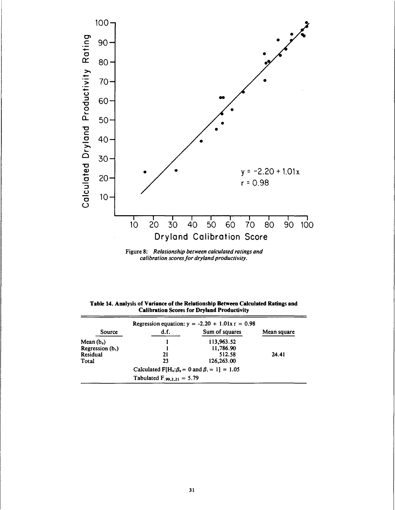

Figure 8: Relationship between calculated ratings and<br>calibration scores for dryland productivity.

| Table 14. Analysis of Variance of the Relationship Between Calculated Ratings and |
|-----------------------------------------------------------------------------------|
| <b>Calibration Scores for Dryland Productivity</b>                                |

|                              |                                 | Regression equation: $y = -2.20 + 1.01x = 0.98$                 |             |
|------------------------------|---------------------------------|-----------------------------------------------------------------|-------------|
| Source                       | d.f.                            | Sum of squares                                                  | Mean square |
| Mean $(b_0)$                 |                                 | 113,963.52                                                      |             |
| Regression (b <sub>1</sub> ) |                                 | 11,786.90                                                       |             |
| Residual                     | 21                              | 512.58                                                          | 24.41       |
| Total                        | 23                              | 126,263.00                                                      |             |
|                              |                                 | Calculated $F[H_0:\beta_0 = 0 \text{ and } \beta_1 = 1] = 1.05$ |             |
|                              | Tabulated $F_{.99,2,21} = 5.79$ |                                                                 |             |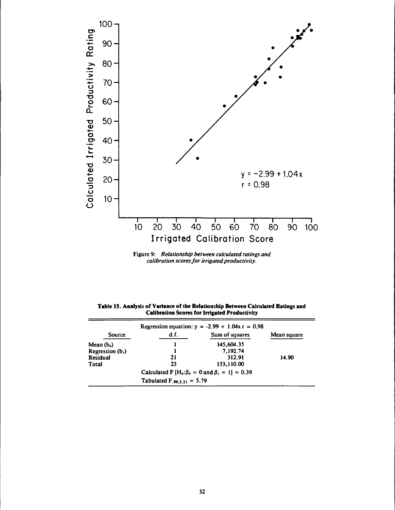

Figure 9: Relationship between calculated ratings and calibration scores for irrigated productivity.

| Table 15. Analysis of Variance of the Relationship Between Calculated Ratings and |  |
|-----------------------------------------------------------------------------------|--|
| <b>Calibration Scores for Irrigated Productivity</b>                              |  |

| Regression equation: $y = -2.99 + 1.04x$ r = 0.98 |                                 |                                                                  |             |  |  |
|---------------------------------------------------|---------------------------------|------------------------------------------------------------------|-------------|--|--|
| Source                                            | d.f.                            | Sum of squares                                                   | Mean square |  |  |
| Mean $(b_0)$                                      |                                 | 145,604.35                                                       |             |  |  |
| Regression $(b1)$                                 |                                 | 7.192.74                                                         |             |  |  |
| Residual                                          | 21                              | 312.91                                                           | 14.90       |  |  |
| Total                                             | 23                              | 153,110.00                                                       |             |  |  |
|                                                   |                                 | Calculated F $[H_0:\beta_0 = 0 \text{ and } \beta_1 = 1] = 0.39$ |             |  |  |
|                                                   | Tabulated $F_{.99,2,21} = 5.79$ |                                                                  |             |  |  |